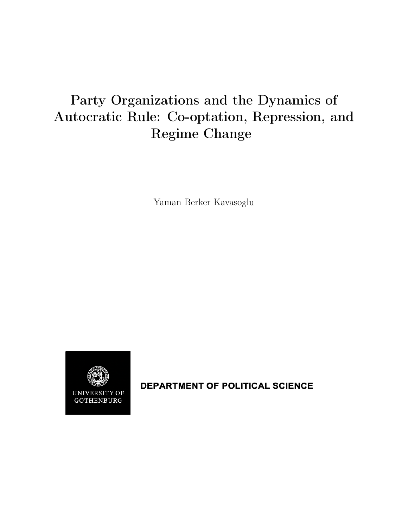# Party Organizations and the Dynamics of Autocratic Rule: Co-optation, Repression, and Regime Change

Yaman Berker Kavasoglu



DEPARTMENT OF POLITICAL SCIENCE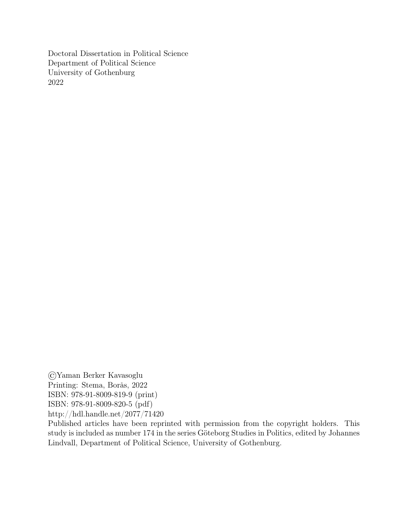Doctoral Dissertation in Political Science Department of Political Science University of Gothenburg 2022

©Yaman Berker Kavasoglu Printing: Stema, Borås, 2022 ISBN: 978-91-8009-819-9 (print) ISBN: 978-91-8009-820-5 (pdf) http://hdl.handle.net/2077/71420

Published articles have been reprinted with permission from the copyright holders. This study is included as number 174 in the series Göteborg Studies in Politics, edited by Johannes Lindvall, Department of Political Science, University of Gothenburg.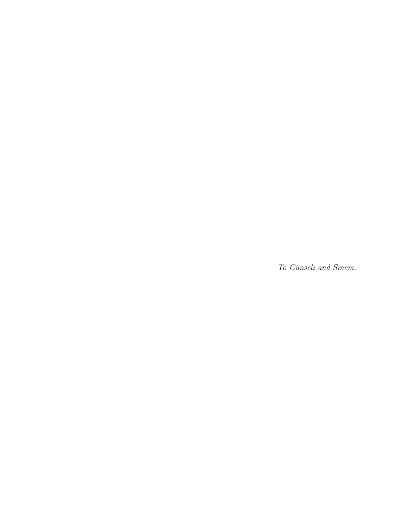To Günseli and Sinem.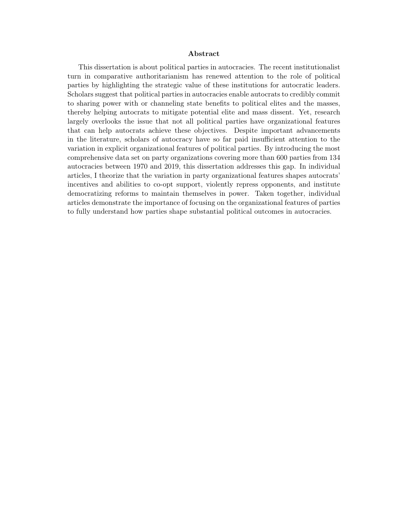#### Abstract

This dissertation is about political parties in autocracies. The recent institutionalist turn in comparative authoritarianism has renewed attention to the role of political parties by highlighting the strategic value of these institutions for autocratic leaders. Scholars suggest that political parties in autocracies enable autocrats to credibly commit to sharing power with or channeling state benefits to political elites and the masses, thereby helping autocrats to mitigate potential elite and mass dissent. Yet, research largely overlooks the issue that not all political parties have organizational features that can help autocrats achieve these objectives. Despite important advancements in the literature, scholars of autocracy have so far paid insufficient attention to the variation in explicit organizational features of political parties. By introducing the most comprehensive data set on party organizations covering more than 600 parties from 134 autocracies between 1970 and 2019, this dissertation addresses this gap. In individual articles, I theorize that the variation in party organizational features shapes autocrats' incentives and abilities to co-opt support, violently repress opponents, and institute democratizing reforms to maintain themselves in power. Taken together, individual articles demonstrate the importance of focusing on the organizational features of parties to fully understand how parties shape substantial political outcomes in autocracies.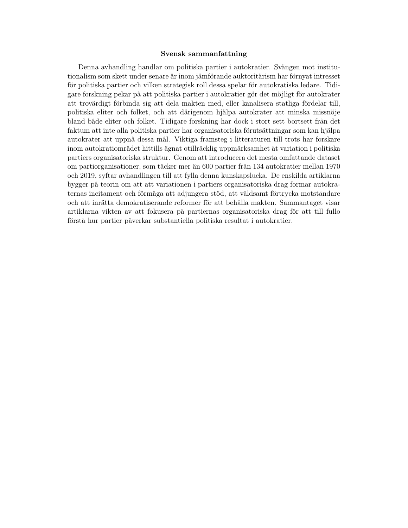#### Svensk sammanfattning

Denna avhandling handlar om politiska partier i autokratier. Svängen mot institutionalism som skett under senare år inom jämförande auktoritärism har förnyat intresset för politiska partier och vilken strategisk roll dessa spelar för autokratiska ledare. Tidigare forskning pekar på att politiska partier i autokratier gör det möjligt för autokrater att trovärdigt förbinda sig att dela makten med, eller kanalisera statliga fördelar till, politiska eliter och folket, och att därigenom hjälpa autokrater att minska missnöje bland både eliter och folket. Tidigare forskning har dock i stort sett bortsett från det faktum att inte alla politiska partier har organisatoriska förutsättningar som kan hjälpa autokrater att uppnå dessa mål. Viktiga framsteg i litteraturen till trots har forskare inom autokratiområdet hittills ägnat otillräcklig uppmärksamhet åt variation i politiska partiers organisatoriska struktur. Genom att introducera det mesta omfattande dataset om partiorganisationer, som täcker mer än 600 partier från 134 autokratier mellan 1970 och 2019, syftar avhandlingen till att fylla denna kunskapslucka. De enskilda artiklarna bygger på teorin om att att variationen i partiers organisatoriska drag formar autokraternas incitament och förmåga att adjungera stöd, att våldsamt förtrycka motståndare och att inrätta demokratiserande reformer för att behålla makten. Sammantaget visar artiklarna vikten av att fokusera på partiernas organisatoriska drag för att till fullo förstå hur partier påverkar substantiella politiska resultat i autokratier.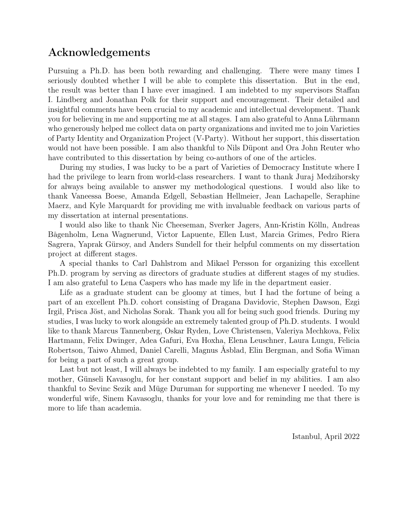## Acknowledgements

Pursuing a Ph.D. has been both rewarding and challenging. There were many times I seriously doubted whether I will be able to complete this dissertation. But in the end, the result was better than I have ever imagined. I am indebted to my supervisors Staffan I. Lindberg and Jonathan Polk for their support and encouragement. Their detailed and insightful comments have been crucial to my academic and intellectual development. Thank you for believing in me and supporting me at all stages. I am also grateful to Anna Lührmann who generously helped me collect data on party organizations and invited me to join Varieties of Party Identity and Organization Project (V-Party). Without her support, this dissertation would not have been possible. I am also thankful to Nils Düpont and Ora John Reuter who have contributed to this dissertation by being co-authors of one of the articles.

During my studies, I was lucky to be a part of Varieties of Democracy Institute where I had the privilege to learn from world-class researchers. I want to thank Juraj Medzihorsky for always being available to answer my methodological questions. I would also like to thank Vaneessa Boese, Amanda Edgell, Sebastian Hellmeier, Jean Lachapelle, Seraphine Maerz, and Kyle Marquardt for providing me with invaluable feedback on various parts of my dissertation at internal presentations.

I would also like to thank Nic Cheeseman, Sverker Jagers, Ann-Kristin Kölln, Andreas Bågenholm, Lena Wagnerund, Victor Lapuente, Ellen Lust, Marcia Grimes, Pedro Riera Sagrera, Yaprak Gürsoy, and Anders Sundell for their helpful comments on my dissertation project at different stages.

A special thanks to Carl Dahlstrom and Mikael Persson for organizing this excellent Ph.D. program by serving as directors of graduate studies at different stages of my studies. I am also grateful to Lena Caspers who has made my life in the department easier.

Life as a graduate student can be gloomy at times, but I had the fortune of being a part of an excellent Ph.D. cohort consisting of Dragana Davidovic, Stephen Dawson, Ezgi Irgil, Prisca Jöst, and Nicholas Sorak. Thank you all for being such good friends. During my studies, I was lucky to work alongside an extremely talented group of Ph.D. students. I would like to thank Marcus Tannenberg, Oskar Ryden, Love Christensen, Valeriya Mechkova, Felix Hartmann, Felix Dwinger, Adea Gafuri, Eva Hoxha, Elena Leuschner, Laura Lungu, Felicia Robertson, Taiwo Ahmed, Daniel Carelli, Magnus Åsblad, Elin Bergman, and Sofia Wiman for being a part of such a great group.

Last but not least, I will always be indebted to my family. I am especially grateful to my mother, Günseli Kavasoglu, for her constant support and belief in my abilities. I am also thankful to Sevinc Sezik and Müge Duruman for supporting me whenever I needed. To my wonderful wife, Sinem Kavasoglu, thanks for your love and for reminding me that there is more to life than academia.

Istanbul, April 2022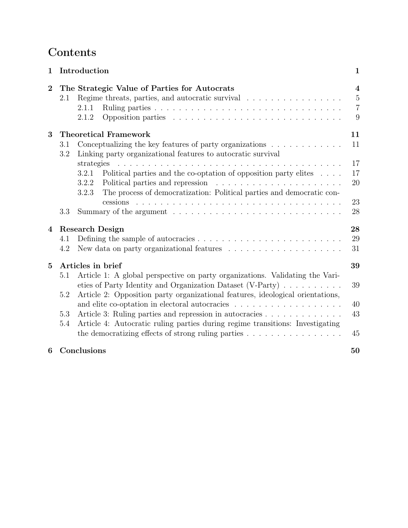## Contents

| $\mathbf{1}$            |            | Introduction                                                                                                                                                             | $\mathbf 1$                                                      |
|-------------------------|------------|--------------------------------------------------------------------------------------------------------------------------------------------------------------------------|------------------------------------------------------------------|
| $\overline{2}$          | 2.1        | The Strategic Value of Parties for Autocrats<br>Regime threats, parties, and autocratic survival<br>2.1.1<br>2.1.2                                                       | $\overline{\mathbf{4}}$<br>$\overline{5}$<br>$\overline{7}$<br>9 |
| 3                       |            | <b>Theoretical Framework</b>                                                                                                                                             | 11                                                               |
|                         | 3.1<br>3.2 | Conceptualizing the key features of party organizations $\ldots \ldots \ldots$<br>Linking party organizational features to autocratic survival                           | 11                                                               |
|                         |            | strategies                                                                                                                                                               | 17                                                               |
|                         |            | Political parties and the co-optation of opposition party elites $\ldots$ .<br>3.2.1                                                                                     | 17                                                               |
|                         |            | 3.2.2<br>The process of democratization: Political parties and democratic con-<br>3.2.3                                                                                  | 20                                                               |
|                         |            |                                                                                                                                                                          | 23                                                               |
|                         | 3.3        | Summary of the argument $\dots \dots \dots \dots \dots \dots \dots \dots \dots \dots \dots$                                                                              | 28                                                               |
| $\overline{\mathbf{4}}$ |            | <b>Research Design</b>                                                                                                                                                   | 28                                                               |
|                         | 4.1        |                                                                                                                                                                          | 29                                                               |
|                         | 4.2        | New data on party organizational features $\dots \dots \dots \dots \dots \dots \dots$                                                                                    | 31                                                               |
| $\overline{5}$          |            | Articles in brief                                                                                                                                                        | 39                                                               |
|                         | 5.1        | Article 1: A global perspective on party organizations. Validating the Vari-<br>eties of Party Identity and Organization Dataset (V-Party) $\ldots \ldots \ldots$        | 39                                                               |
|                         | 5.2        | Article 2: Opposition party organizational features, ideological orientations,                                                                                           | 40                                                               |
|                         | 5.3        | Article 3: Ruling parties and repression in autocracies                                                                                                                  | 43                                                               |
|                         | 5.4        | Article 4: Autocratic ruling parties during regime transitions: Investigating<br>the democratizing effects of strong ruling parties $\ldots \ldots \ldots \ldots \ldots$ | 45                                                               |
| 6                       |            | Conclusions                                                                                                                                                              | 50                                                               |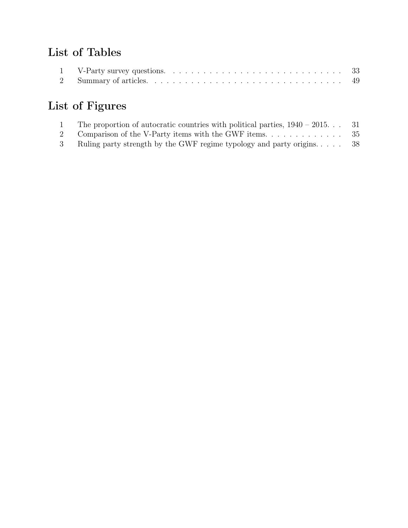## List of Tables

| 1 V-Party survey questions. $\ldots \ldots \ldots \ldots \ldots \ldots \ldots \ldots \ldots \ldots \ldots \ldots$ 33 |  |
|----------------------------------------------------------------------------------------------------------------------|--|
|                                                                                                                      |  |

# List of Figures

| The proportion of autocratic countries with political parties, $1940 - 2015$  | -31 |
|-------------------------------------------------------------------------------|-----|
| Comparison of the V-Party items with the GWF items. $\dots \dots \dots \dots$ | -35 |
| Ruling party strength by the GWF regime typology and party origins            | -38 |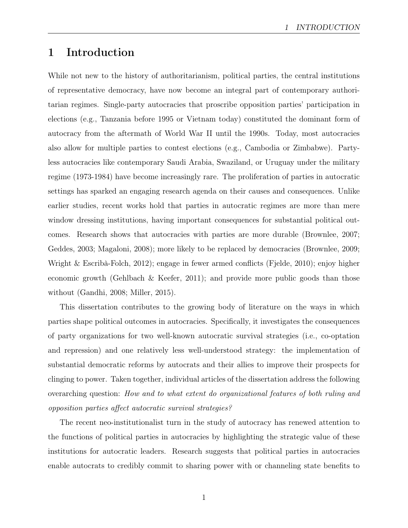## 1 Introduction

While not new to the history of authoritarianism, political parties, the central institutions of representative democracy, have now become an integral part of contemporary authoritarian regimes. Single-party autocracies that proscribe opposition parties' participation in elections (e.g., Tanzania before 1995 or Vietnam today) constituted the dominant form of autocracy from the aftermath of World War II until the 1990s. Today, most autocracies also allow for multiple parties to contest elections (e.g., Cambodia or Zimbabwe). Partyless autocracies like contemporary Saudi Arabia, Swaziland, or Uruguay under the military regime (1973-1984) have become increasingly rare. The proliferation of parties in autocratic settings has sparked an engaging research agenda on their causes and consequences. Unlike earlier studies, recent works hold that parties in autocratic regimes are more than mere window dressing institutions, having important consequences for substantial political outcomes. Research shows that autocracies with parties are more durable (Brownlee, 2007; Geddes, 2003; Magaloni, 2008); more likely to be replaced by democracies (Brownlee, 2009; Wright & Escribà-Folch, 2012); engage in fewer armed conflicts (Fjelde, 2010); enjoy higher economic growth (Gehlbach & Keefer, 2011); and provide more public goods than those without (Gandhi, 2008; Miller, 2015).

This dissertation contributes to the growing body of literature on the ways in which parties shape political outcomes in autocracies. Specifically, it investigates the consequences of party organizations for two well-known autocratic survival strategies (i.e., co-optation and repression) and one relatively less well-understood strategy: the implementation of substantial democratic reforms by autocrats and their allies to improve their prospects for clinging to power. Taken together, individual articles of the dissertation address the following overarching question: How and to what extent do organizational features of both ruling and opposition parties affect autocratic survival strategies?

The recent neo-institutionalist turn in the study of autocracy has renewed attention to the functions of political parties in autocracies by highlighting the strategic value of these institutions for autocratic leaders. Research suggests that political parties in autocracies enable autocrats to credibly commit to sharing power with or channeling state benefits to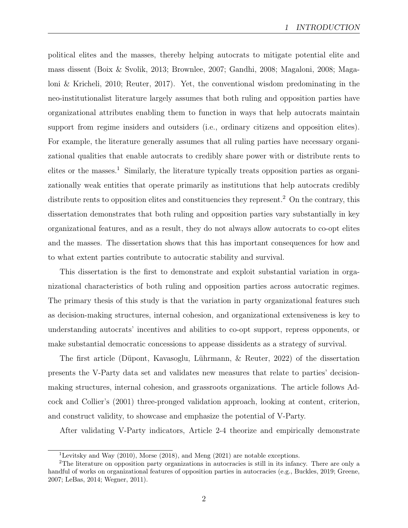political elites and the masses, thereby helping autocrats to mitigate potential elite and mass dissent (Boix & Svolik, 2013; Brownlee, 2007; Gandhi, 2008; Magaloni, 2008; Magaloni & Kricheli, 2010; Reuter, 2017). Yet, the conventional wisdom predominating in the neo-institutionalist literature largely assumes that both ruling and opposition parties have organizational attributes enabling them to function in ways that help autocrats maintain support from regime insiders and outsiders (i.e., ordinary citizens and opposition elites). For example, the literature generally assumes that all ruling parties have necessary organizational qualities that enable autocrats to credibly share power with or distribute rents to elites or the masses.<sup>1</sup> Similarly, the literature typically treats opposition parties as organizationally weak entities that operate primarily as institutions that help autocrats credibly distribute rents to opposition elites and constituencies they represent.<sup>2</sup> On the contrary, this dissertation demonstrates that both ruling and opposition parties vary substantially in key organizational features, and as a result, they do not always allow autocrats to co-opt elites and the masses. The dissertation shows that this has important consequences for how and to what extent parties contribute to autocratic stability and survival.

This dissertation is the first to demonstrate and exploit substantial variation in organizational characteristics of both ruling and opposition parties across autocratic regimes. The primary thesis of this study is that the variation in party organizational features such as decision-making structures, internal cohesion, and organizational extensiveness is key to understanding autocrats' incentives and abilities to co-opt support, repress opponents, or make substantial democratic concessions to appease dissidents as a strategy of survival.

The first article (Düpont, Kavasoglu, Lührmann, & Reuter, 2022) of the dissertation presents the V-Party data set and validates new measures that relate to parties' decisionmaking structures, internal cohesion, and grassroots organizations. The article follows Adcock and Collier's (2001) three-pronged validation approach, looking at content, criterion, and construct validity, to showcase and emphasize the potential of V-Party.

After validating V-Party indicators, Article 2-4 theorize and empirically demonstrate

<sup>&</sup>lt;sup>1</sup>Levitsky and Way (2010), Morse (2018), and Meng (2021) are notable exceptions.

<sup>2</sup>The literature on opposition party organizations in autocracies is still in its infancy. There are only a handful of works on organizational features of opposition parties in autocracies (e.g., Buckles, 2019; Greene, 2007; LeBas, 2014; Wegner, 2011).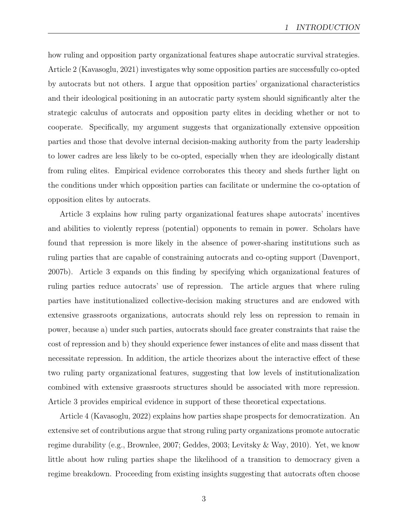how ruling and opposition party organizational features shape autocratic survival strategies. Article 2 (Kavasoglu, 2021) investigates why some opposition parties are successfully co-opted by autocrats but not others. I argue that opposition parties' organizational characteristics and their ideological positioning in an autocratic party system should significantly alter the strategic calculus of autocrats and opposition party elites in deciding whether or not to cooperate. Specifically, my argument suggests that organizationally extensive opposition parties and those that devolve internal decision-making authority from the party leadership to lower cadres are less likely to be co-opted, especially when they are ideologically distant from ruling elites. Empirical evidence corroborates this theory and sheds further light on the conditions under which opposition parties can facilitate or undermine the co-optation of opposition elites by autocrats.

Article 3 explains how ruling party organizational features shape autocrats' incentives and abilities to violently repress (potential) opponents to remain in power. Scholars have found that repression is more likely in the absence of power-sharing institutions such as ruling parties that are capable of constraining autocrats and co-opting support (Davenport, 2007b). Article 3 expands on this finding by specifying which organizational features of ruling parties reduce autocrats' use of repression. The article argues that where ruling parties have institutionalized collective-decision making structures and are endowed with extensive grassroots organizations, autocrats should rely less on repression to remain in power, because a) under such parties, autocrats should face greater constraints that raise the cost of repression and b) they should experience fewer instances of elite and mass dissent that necessitate repression. In addition, the article theorizes about the interactive effect of these two ruling party organizational features, suggesting that low levels of institutionalization combined with extensive grassroots structures should be associated with more repression. Article 3 provides empirical evidence in support of these theoretical expectations.

Article 4 (Kavasoglu, 2022) explains how parties shape prospects for democratization. An extensive set of contributions argue that strong ruling party organizations promote autocratic regime durability (e.g., Brownlee, 2007; Geddes, 2003; Levitsky & Way, 2010). Yet, we know little about how ruling parties shape the likelihood of a transition to democracy given a regime breakdown. Proceeding from existing insights suggesting that autocrats often choose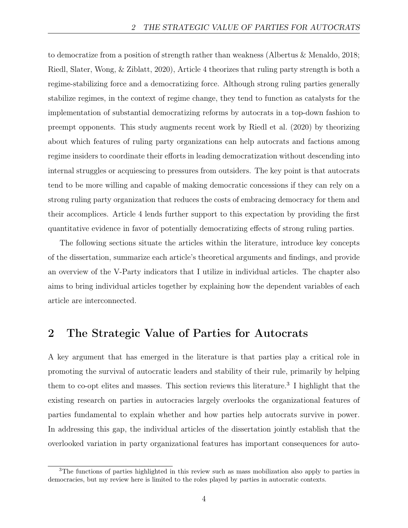to democratize from a position of strength rather than weakness (Albertus & Menaldo, 2018; Riedl, Slater, Wong, & Ziblatt, 2020), Article 4 theorizes that ruling party strength is both a regime-stabilizing force and a democratizing force. Although strong ruling parties generally stabilize regimes, in the context of regime change, they tend to function as catalysts for the implementation of substantial democratizing reforms by autocrats in a top-down fashion to preempt opponents. This study augments recent work by Riedl et al. (2020) by theorizing about which features of ruling party organizations can help autocrats and factions among regime insiders to coordinate their efforts in leading democratization without descending into internal struggles or acquiescing to pressures from outsiders. The key point is that autocrats tend to be more willing and capable of making democratic concessions if they can rely on a strong ruling party organization that reduces the costs of embracing democracy for them and their accomplices. Article 4 lends further support to this expectation by providing the first quantitative evidence in favor of potentially democratizing effects of strong ruling parties.

The following sections situate the articles within the literature, introduce key concepts of the dissertation, summarize each article's theoretical arguments and findings, and provide an overview of the V-Party indicators that I utilize in individual articles. The chapter also aims to bring individual articles together by explaining how the dependent variables of each article are interconnected.

### 2 The Strategic Value of Parties for Autocrats

A key argument that has emerged in the literature is that parties play a critical role in promoting the survival of autocratic leaders and stability of their rule, primarily by helping them to co-opt elites and masses. This section reviews this literature.<sup>3</sup> I highlight that the existing research on parties in autocracies largely overlooks the organizational features of parties fundamental to explain whether and how parties help autocrats survive in power. In addressing this gap, the individual articles of the dissertation jointly establish that the overlooked variation in party organizational features has important consequences for auto-

<sup>3</sup>The functions of parties highlighted in this review such as mass mobilization also apply to parties in democracies, but my review here is limited to the roles played by parties in autocratic contexts.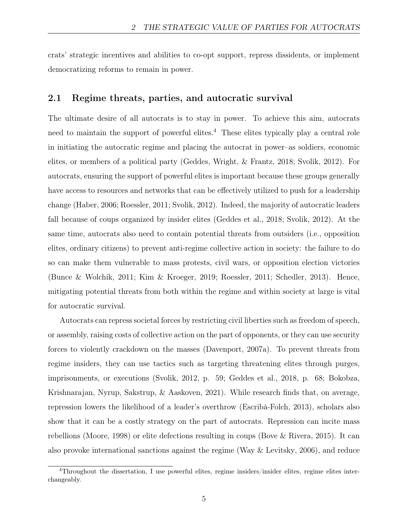crats' strategic incentives and abilities to co-opt support, repress dissidents, or implement democratizing reforms to remain in power.

#### 2.1 Regime threats, parties, and autocratic survival

The ultimate desire of all autocrats is to stay in power. To achieve this aim, autocrats need to maintain the support of powerful elites.<sup>4</sup> These elites typically play a central role in initiating the autocratic regime and placing the autocrat in power–as soldiers, economic elites, or members of a political party (Geddes, Wright, & Frantz, 2018; Svolik, 2012). For autocrats, ensuring the support of powerful elites is important because these groups generally have access to resources and networks that can be effectively utilized to push for a leadership change (Haber, 2006; Roessler, 2011; Svolik, 2012). Indeed, the majority of autocratic leaders fall because of coups organized by insider elites (Geddes et al., 2018; Svolik, 2012). At the same time, autocrats also need to contain potential threats from outsiders (i.e., opposition elites, ordinary citizens) to prevent anti-regime collective action in society: the failure to do so can make them vulnerable to mass protests, civil wars, or opposition election victories (Bunce & Wolchik, 2011; Kim & Kroeger, 2019; Roessler, 2011; Schedler, 2013). Hence, mitigating potential threats from both within the regime and within society at large is vital for autocratic survival.

Autocrats can repress societal forces by restricting civil liberties such as freedom of speech, or assembly, raising costs of collective action on the part of opponents, or they can use security forces to violently crackdown on the masses (Davenport, 2007a). To prevent threats from regime insiders, they can use tactics such as targeting threatening elites through purges, imprisonments, or executions (Svolik, 2012, p. 59; Geddes et al., 2018, p. 68; Bokobza, Krishnarajan, Nyrup, Sakstrup, & Aaskoven, 2021). While research finds that, on average, repression lowers the likelihood of a leader's overthrow (Escribà-Folch, 2013), scholars also show that it can be a costly strategy on the part of autocrats. Repression can incite mass rebellions (Moore, 1998) or elite defections resulting in coups (Bove & Rivera, 2015). It can also provoke international sanctions against the regime (Way & Levitsky, 2006), and reduce

<sup>4</sup>Throughout the dissertation, I use powerful elites, regime insiders/insider elites, regime elites interchangeably.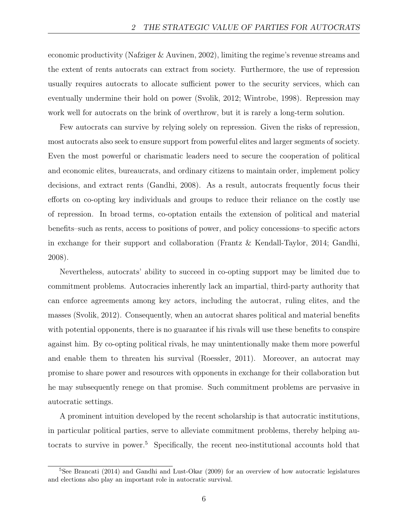economic productivity (Nafziger & Auvinen, 2002), limiting the regime's revenue streams and the extent of rents autocrats can extract from society. Furthermore, the use of repression usually requires autocrats to allocate sufficient power to the security services, which can eventually undermine their hold on power (Svolik, 2012; Wintrobe, 1998). Repression may work well for autocrats on the brink of overthrow, but it is rarely a long-term solution.

Few autocrats can survive by relying solely on repression. Given the risks of repression, most autocrats also seek to ensure support from powerful elites and larger segments of society. Even the most powerful or charismatic leaders need to secure the cooperation of political and economic elites, bureaucrats, and ordinary citizens to maintain order, implement policy decisions, and extract rents (Gandhi, 2008). As a result, autocrats frequently focus their efforts on co-opting key individuals and groups to reduce their reliance on the costly use of repression. In broad terms, co-optation entails the extension of political and material benefits–such as rents, access to positions of power, and policy concessions–to specific actors in exchange for their support and collaboration (Frantz & Kendall-Taylor, 2014; Gandhi, 2008).

Nevertheless, autocrats' ability to succeed in co-opting support may be limited due to commitment problems. Autocracies inherently lack an impartial, third-party authority that can enforce agreements among key actors, including the autocrat, ruling elites, and the masses (Svolik, 2012). Consequently, when an autocrat shares political and material benefits with potential opponents, there is no guarantee if his rivals will use these benefits to conspire against him. By co-opting political rivals, he may unintentionally make them more powerful and enable them to threaten his survival (Roessler, 2011). Moreover, an autocrat may promise to share power and resources with opponents in exchange for their collaboration but he may subsequently renege on that promise. Such commitment problems are pervasive in autocratic settings.

A prominent intuition developed by the recent scholarship is that autocratic institutions, in particular political parties, serve to alleviate commitment problems, thereby helping autocrats to survive in power.<sup>5</sup> Specifically, the recent neo-institutional accounts hold that

<sup>&</sup>lt;sup>5</sup>See Brancati (2014) and Gandhi and Lust-Okar (2009) for an overview of how autocratic legislatures and elections also play an important role in autocratic survival.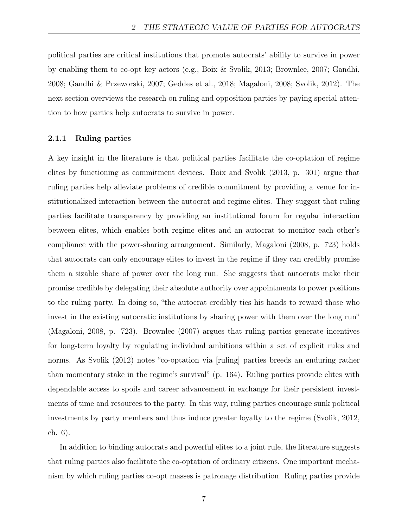political parties are critical institutions that promote autocrats' ability to survive in power by enabling them to co-opt key actors (e.g., Boix & Svolik, 2013; Brownlee, 2007; Gandhi, 2008; Gandhi & Przeworski, 2007; Geddes et al., 2018; Magaloni, 2008; Svolik, 2012). The next section overviews the research on ruling and opposition parties by paying special attention to how parties help autocrats to survive in power.

#### 2.1.1 Ruling parties

A key insight in the literature is that political parties facilitate the co-optation of regime elites by functioning as commitment devices. Boix and Svolik (2013, p. 301) argue that ruling parties help alleviate problems of credible commitment by providing a venue for institutionalized interaction between the autocrat and regime elites. They suggest that ruling parties facilitate transparency by providing an institutional forum for regular interaction between elites, which enables both regime elites and an autocrat to monitor each other's compliance with the power-sharing arrangement. Similarly, Magaloni (2008, p. 723) holds that autocrats can only encourage elites to invest in the regime if they can credibly promise them a sizable share of power over the long run. She suggests that autocrats make their promise credible by delegating their absolute authority over appointments to power positions to the ruling party. In doing so, "the autocrat credibly ties his hands to reward those who invest in the existing autocratic institutions by sharing power with them over the long run" (Magaloni, 2008, p. 723). Brownlee (2007) argues that ruling parties generate incentives for long-term loyalty by regulating individual ambitions within a set of explicit rules and norms. As Svolik (2012) notes "co-optation via [ruling] parties breeds an enduring rather than momentary stake in the regime's survival" (p. 164). Ruling parties provide elites with dependable access to spoils and career advancement in exchange for their persistent investments of time and resources to the party. In this way, ruling parties encourage sunk political investments by party members and thus induce greater loyalty to the regime (Svolik, 2012, ch. 6).

In addition to binding autocrats and powerful elites to a joint rule, the literature suggests that ruling parties also facilitate the co-optation of ordinary citizens. One important mechanism by which ruling parties co-opt masses is patronage distribution. Ruling parties provide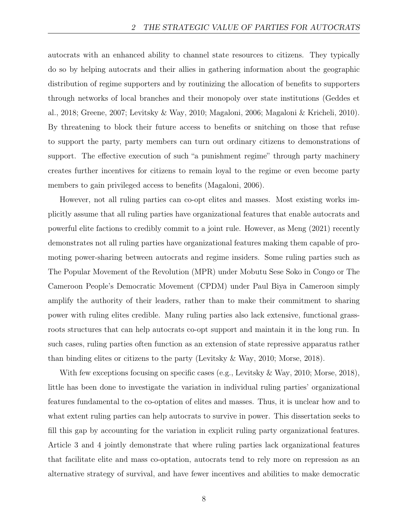autocrats with an enhanced ability to channel state resources to citizens. They typically do so by helping autocrats and their allies in gathering information about the geographic distribution of regime supporters and by routinizing the allocation of benefits to supporters through networks of local branches and their monopoly over state institutions (Geddes et al., 2018; Greene, 2007; Levitsky & Way, 2010; Magaloni, 2006; Magaloni & Kricheli, 2010). By threatening to block their future access to benefits or snitching on those that refuse to support the party, party members can turn out ordinary citizens to demonstrations of support. The effective execution of such "a punishment regime" through party machinery creates further incentives for citizens to remain loyal to the regime or even become party members to gain privileged access to benefits (Magaloni, 2006).

However, not all ruling parties can co-opt elites and masses. Most existing works implicitly assume that all ruling parties have organizational features that enable autocrats and powerful elite factions to credibly commit to a joint rule. However, as Meng (2021) recently demonstrates not all ruling parties have organizational features making them capable of promoting power-sharing between autocrats and regime insiders. Some ruling parties such as The Popular Movement of the Revolution (MPR) under Mobutu Sese Soko in Congo or The Cameroon People's Democratic Movement (CPDM) under Paul Biya in Cameroon simply amplify the authority of their leaders, rather than to make their commitment to sharing power with ruling elites credible. Many ruling parties also lack extensive, functional grassroots structures that can help autocrats co-opt support and maintain it in the long run. In such cases, ruling parties often function as an extension of state repressive apparatus rather than binding elites or citizens to the party (Levitsky & Way, 2010; Morse, 2018).

With few exceptions focusing on specific cases (e.g., Levitsky & Way, 2010; Morse, 2018), little has been done to investigate the variation in individual ruling parties' organizational features fundamental to the co-optation of elites and masses. Thus, it is unclear how and to what extent ruling parties can help autocrats to survive in power. This dissertation seeks to fill this gap by accounting for the variation in explicit ruling party organizational features. Article 3 and 4 jointly demonstrate that where ruling parties lack organizational features that facilitate elite and mass co-optation, autocrats tend to rely more on repression as an alternative strategy of survival, and have fewer incentives and abilities to make democratic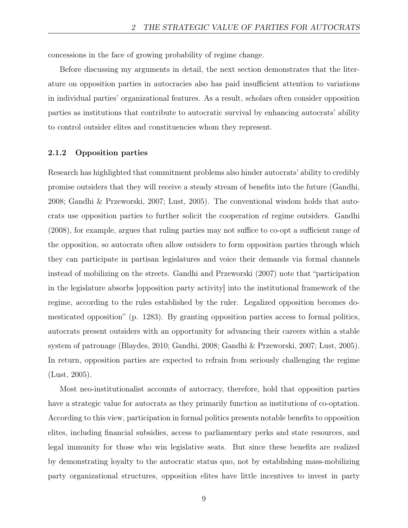concessions in the face of growing probability of regime change.

Before discussing my arguments in detail, the next section demonstrates that the literature on opposition parties in autocracies also has paid insufficient attention to variations in individual parties' organizational features. As a result, scholars often consider opposition parties as institutions that contribute to autocratic survival by enhancing autocrats' ability to control outsider elites and constituencies whom they represent.

#### 2.1.2 Opposition parties

Research has highlighted that commitment problems also hinder autocrats' ability to credibly promise outsiders that they will receive a steady stream of benefits into the future (Gandhi, 2008; Gandhi & Przeworski, 2007; Lust, 2005). The conventional wisdom holds that autocrats use opposition parties to further solicit the cooperation of regime outsiders. Gandhi (2008), for example, argues that ruling parties may not suffice to co-opt a sufficient range of the opposition, so autocrats often allow outsiders to form opposition parties through which they can participate in partisan legislatures and voice their demands via formal channels instead of mobilizing on the streets. Gandhi and Przeworski (2007) note that "participation in the legislature absorbs [opposition party activity] into the institutional framework of the regime, according to the rules established by the ruler. Legalized opposition becomes domesticated opposition" (p. 1283). By granting opposition parties access to formal politics, autocrats present outsiders with an opportunity for advancing their careers within a stable system of patronage (Blaydes, 2010; Gandhi, 2008; Gandhi & Przeworski, 2007; Lust, 2005). In return, opposition parties are expected to refrain from seriously challenging the regime (Lust, 2005).

Most neo-institutionalist accounts of autocracy, therefore, hold that opposition parties have a strategic value for autocrats as they primarily function as institutions of co-optation. According to this view, participation in formal politics presents notable benefits to opposition elites, including financial subsidies, access to parliamentary perks and state resources, and legal immunity for those who win legislative seats. But since these benefits are realized by demonstrating loyalty to the autocratic status quo, not by establishing mass-mobilizing party organizational structures, opposition elites have little incentives to invest in party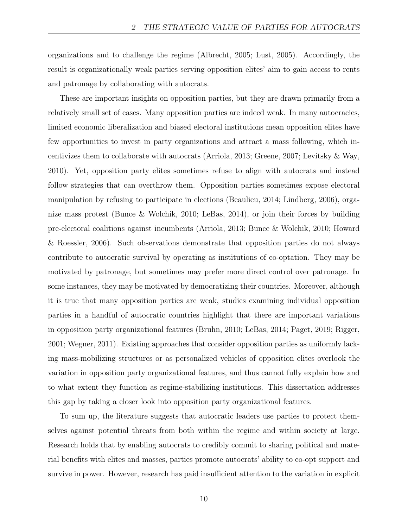organizations and to challenge the regime (Albrecht, 2005; Lust, 2005). Accordingly, the result is organizationally weak parties serving opposition elites' aim to gain access to rents and patronage by collaborating with autocrats.

These are important insights on opposition parties, but they are drawn primarily from a relatively small set of cases. Many opposition parties are indeed weak. In many autocracies, limited economic liberalization and biased electoral institutions mean opposition elites have few opportunities to invest in party organizations and attract a mass following, which incentivizes them to collaborate with autocrats (Arriola, 2013; Greene, 2007; Levitsky & Way, 2010). Yet, opposition party elites sometimes refuse to align with autocrats and instead follow strategies that can overthrow them. Opposition parties sometimes expose electoral manipulation by refusing to participate in elections (Beaulieu, 2014; Lindberg, 2006), organize mass protest (Bunce & Wolchik, 2010; LeBas, 2014), or join their forces by building pre-electoral coalitions against incumbents (Arriola, 2013; Bunce & Wolchik, 2010; Howard & Roessler, 2006). Such observations demonstrate that opposition parties do not always contribute to autocratic survival by operating as institutions of co-optation. They may be motivated by patronage, but sometimes may prefer more direct control over patronage. In some instances, they may be motivated by democratizing their countries. Moreover, although it is true that many opposition parties are weak, studies examining individual opposition parties in a handful of autocratic countries highlight that there are important variations in opposition party organizational features (Bruhn, 2010; LeBas, 2014; Paget, 2019; Rigger, 2001; Wegner, 2011). Existing approaches that consider opposition parties as uniformly lacking mass-mobilizing structures or as personalized vehicles of opposition elites overlook the variation in opposition party organizational features, and thus cannot fully explain how and to what extent they function as regime-stabilizing institutions. This dissertation addresses this gap by taking a closer look into opposition party organizational features.

To sum up, the literature suggests that autocratic leaders use parties to protect themselves against potential threats from both within the regime and within society at large. Research holds that by enabling autocrats to credibly commit to sharing political and material benefits with elites and masses, parties promote autocrats' ability to co-opt support and survive in power. However, research has paid insufficient attention to the variation in explicit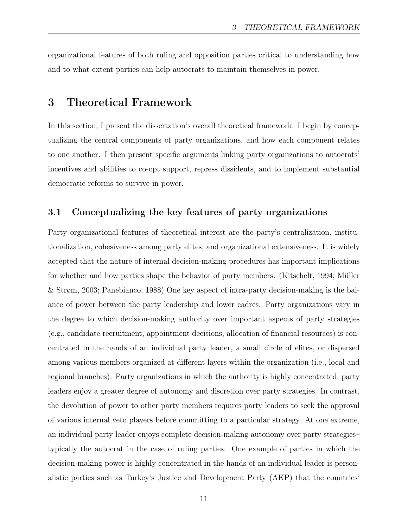organizational features of both ruling and opposition parties critical to understanding how and to what extent parties can help autocrats to maintain themselves in power.

## 3 Theoretical Framework

In this section, I present the dissertation's overall theoretical framework. I begin by conceptualizing the central components of party organizations, and how each component relates to one another. I then present specific arguments linking party organizations to autocrats' incentives and abilities to co-opt support, repress dissidents, and to implement substantial democratic reforms to survive in power.

#### 3.1 Conceptualizing the key features of party organizations

Party organizational features of theoretical interest are the party's centralization, institutionalization, cohesiveness among party elites, and organizational extensiveness. It is widely accepted that the nature of internal decision-making procedures has important implications for whether and how parties shape the behavior of party members. (Kitschelt, 1994; Müller & Strøm, 2003; Panebianco, 1988) One key aspect of intra-party decision-making is the balance of power between the party leadership and lower cadres. Party organizations vary in the degree to which decision-making authority over important aspects of party strategies (e.g., candidate recruitment, appointment decisions, allocation of financial resources) is concentrated in the hands of an individual party leader, a small circle of elites, or dispersed among various members organized at different layers within the organization (i.e., local and regional branches). Party organizations in which the authority is highly concentrated, party leaders enjoy a greater degree of autonomy and discretion over party strategies. In contrast, the devolution of power to other party members requires party leaders to seek the approval of various internal veto players before committing to a particular strategy. At one extreme, an individual party leader enjoys complete decision-making autonomy over party strategies– typically the autocrat in the case of ruling parties. One example of parties in which the decision-making power is highly concentrated in the hands of an individual leader is personalistic parties such as Turkey's Justice and Development Party (AKP) that the countries'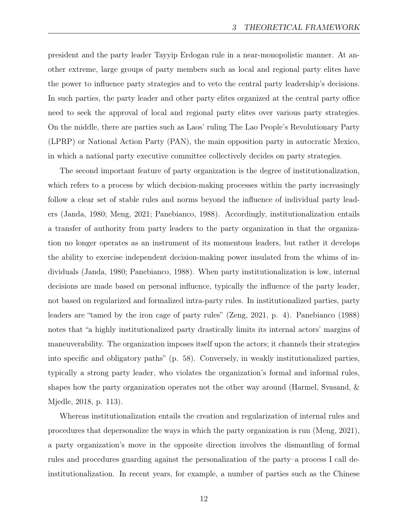president and the party leader Tayyip Erdogan rule in a near-monopolistic manner. At another extreme, large groups of party members such as local and regional party elites have the power to influence party strategies and to veto the central party leadership's decisions. In such parties, the party leader and other party elites organized at the central party office need to seek the approval of local and regional party elites over various party strategies. On the middle, there are parties such as Laos' ruling The Lao People's Revolutionary Party (LPRP) or National Action Party (PAN), the main opposition party in autocratic Mexico, in which a national party executive committee collectively decides on party strategies.

The second important feature of party organization is the degree of institutionalization, which refers to a process by which decision-making processes within the party increasingly follow a clear set of stable rules and norms beyond the influence of individual party leaders (Janda, 1980; Meng, 2021; Panebianco, 1988). Accordingly, institutionalization entails a transfer of authority from party leaders to the party organization in that the organization no longer operates as an instrument of its momentous leaders, but rather it develops the ability to exercise independent decision-making power insulated from the whims of individuals (Janda, 1980; Panebianco, 1988). When party institutionalization is low, internal decisions are made based on personal influence, typically the influence of the party leader, not based on regularized and formalized intra-party rules. In institutionalized parties, party leaders are "tamed by the iron cage of party rules" (Zeng, 2021, p. 4). Panebianco (1988) notes that "a highly institutionalized party drastically limits its internal actors' margins of maneuverability. The organization imposes itself upon the actors; it channels their strategies into specific and obligatory paths" (p. 58). Conversely, in weakly institutionalized parties, typically a strong party leader, who violates the organization's formal and informal rules, shapes how the party organization operates not the other way around (Harmel, Svasand, & Mjedle, 2018, p. 113).

Whereas institutionalization entails the creation and regularization of internal rules and procedures that depersonalize the ways in which the party organization is run (Meng, 2021), a party organization's move in the opposite direction involves the dismantling of formal rules and procedures guarding against the personalization of the party–a process I call deinstitutionalization. In recent years, for example, a number of parties such as the Chinese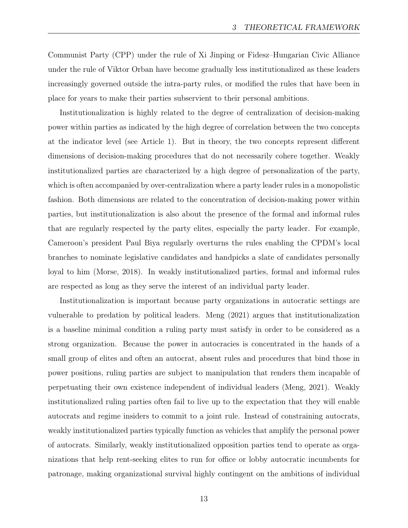Communist Party (CPP) under the rule of Xi Jinping or Fidesz–Hungarian Civic Alliance under the rule of Viktor Orban have become gradually less institutionalized as these leaders increasingly governed outside the intra-party rules, or modified the rules that have been in place for years to make their parties subservient to their personal ambitions.

Institutionalization is highly related to the degree of centralization of decision-making power within parties as indicated by the high degree of correlation between the two concepts at the indicator level (see Article 1). But in theory, the two concepts represent different dimensions of decision-making procedures that do not necessarily cohere together. Weakly institutionalized parties are characterized by a high degree of personalization of the party, which is often accompanied by over-centralization where a party leader rules in a monopolistic fashion. Both dimensions are related to the concentration of decision-making power within parties, but institutionalization is also about the presence of the formal and informal rules that are regularly respected by the party elites, especially the party leader. For example, Cameroon's president Paul Biya regularly overturns the rules enabling the CPDM's local branches to nominate legislative candidates and handpicks a slate of candidates personally loyal to him (Morse, 2018). In weakly institutionalized parties, formal and informal rules are respected as long as they serve the interest of an individual party leader.

Institutionalization is important because party organizations in autocratic settings are vulnerable to predation by political leaders. Meng (2021) argues that institutionalization is a baseline minimal condition a ruling party must satisfy in order to be considered as a strong organization. Because the power in autocracies is concentrated in the hands of a small group of elites and often an autocrat, absent rules and procedures that bind those in power positions, ruling parties are subject to manipulation that renders them incapable of perpetuating their own existence independent of individual leaders (Meng, 2021). Weakly institutionalized ruling parties often fail to live up to the expectation that they will enable autocrats and regime insiders to commit to a joint rule. Instead of constraining autocrats, weakly institutionalized parties typically function as vehicles that amplify the personal power of autocrats. Similarly, weakly institutionalized opposition parties tend to operate as organizations that help rent-seeking elites to run for office or lobby autocratic incumbents for patronage, making organizational survival highly contingent on the ambitions of individual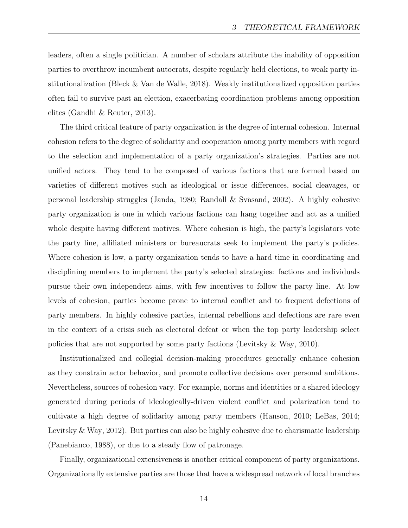leaders, often a single politician. A number of scholars attribute the inability of opposition parties to overthrow incumbent autocrats, despite regularly held elections, to weak party institutionalization (Bleck & Van de Walle, 2018). Weakly institutionalized opposition parties often fail to survive past an election, exacerbating coordination problems among opposition elites (Gandhi & Reuter, 2013).

The third critical feature of party organization is the degree of internal cohesion. Internal cohesion refers to the degree of solidarity and cooperation among party members with regard to the selection and implementation of a party organization's strategies. Parties are not unified actors. They tend to be composed of various factions that are formed based on varieties of different motives such as ideological or issue differences, social cleavages, or personal leadership struggles (Janda, 1980; Randall & Svåsand, 2002). A highly cohesive party organization is one in which various factions can hang together and act as a unified whole despite having different motives. Where cohesion is high, the party's legislators vote the party line, affiliated ministers or bureaucrats seek to implement the party's policies. Where cohesion is low, a party organization tends to have a hard time in coordinating and disciplining members to implement the party's selected strategies: factions and individuals pursue their own independent aims, with few incentives to follow the party line. At low levels of cohesion, parties become prone to internal conflict and to frequent defections of party members. In highly cohesive parties, internal rebellions and defections are rare even in the context of a crisis such as electoral defeat or when the top party leadership select policies that are not supported by some party factions (Levitsky & Way, 2010).

Institutionalized and collegial decision-making procedures generally enhance cohesion as they constrain actor behavior, and promote collective decisions over personal ambitions. Nevertheless, sources of cohesion vary. For example, norms and identities or a shared ideology generated during periods of ideologically-driven violent conflict and polarization tend to cultivate a high degree of solidarity among party members (Hanson, 2010; LeBas, 2014; Levitsky & Way, 2012). But parties can also be highly cohesive due to charismatic leadership (Panebianco, 1988), or due to a steady flow of patronage.

Finally, organizational extensiveness is another critical component of party organizations. Organizationally extensive parties are those that have a widespread network of local branches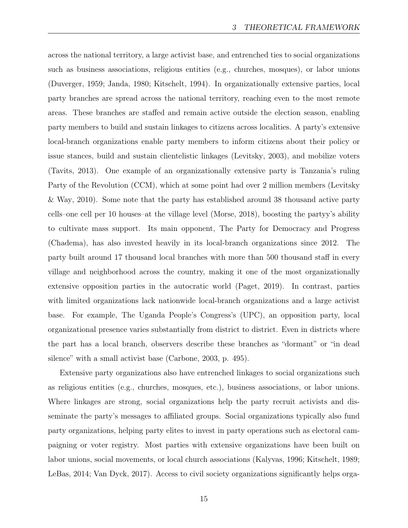across the national territory, a large activist base, and entrenched ties to social organizations such as business associations, religious entities (e.g., churches, mosques), or labor unions (Duverger, 1959; Janda, 1980; Kitschelt, 1994). In organizationally extensive parties, local party branches are spread across the national territory, reaching even to the most remote areas. These branches are staffed and remain active outside the election season, enabling party members to build and sustain linkages to citizens across localities. A party's extensive local-branch organizations enable party members to inform citizens about their policy or issue stances, build and sustain clientelistic linkages (Levitsky, 2003), and mobilize voters (Tavits, 2013). One example of an organizationally extensive party is Tanzania's ruling Party of the Revolution (CCM), which at some point had over 2 million members (Levitsky & Way, 2010). Some note that the party has established around 38 thousand active party cells–one cell per 10 houses–at the village level (Morse, 2018), boosting the partyy's ability to cultivate mass support. Its main opponent, The Party for Democracy and Progress (Chadema), has also invested heavily in its local-branch organizations since 2012. The party built around 17 thousand local branches with more than 500 thousand staff in every village and neighborhood across the country, making it one of the most organizationally extensive opposition parties in the autocratic world (Paget, 2019). In contrast, parties with limited organizations lack nationwide local-branch organizations and a large activist base. For example, The Uganda People's Congress's (UPC), an opposition party, local organizational presence varies substantially from district to district. Even in districts where the part has a local branch, observers describe these branches as "dormant" or "in dead silence" with a small activist base (Carbone, 2003, p. 495).

Extensive party organizations also have entrenched linkages to social organizations such as religious entities (e.g., churches, mosques, etc.), business associations, or labor unions. Where linkages are strong, social organizations help the party recruit activists and disseminate the party's messages to affiliated groups. Social organizations typically also fund party organizations, helping party elites to invest in party operations such as electoral campaigning or voter registry. Most parties with extensive organizations have been built on labor unions, social movements, or local church associations (Kalyvas, 1996; Kitschelt, 1989; LeBas, 2014; Van Dyck, 2017). Access to civil society organizations significantly helps orga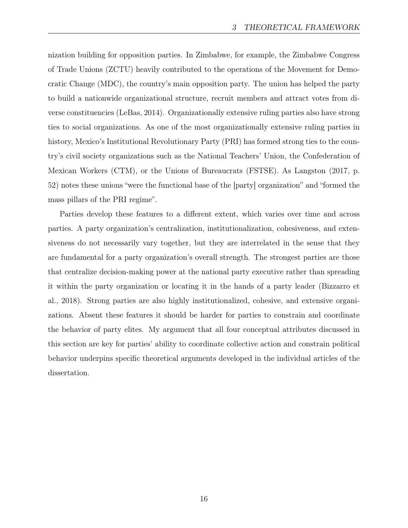nization building for opposition parties. In Zimbabwe, for example, the Zimbabwe Congress of Trade Unions (ZCTU) heavily contributed to the operations of the Movement for Democratic Change (MDC), the country's main opposition party. The union has helped the party to build a nationwide organizational structure, recruit members and attract votes from diverse constituencies (LeBas, 2014). Organizationally extensive ruling parties also have strong ties to social organizations. As one of the most organizationally extensive ruling parties in history, Mexico's Institutional Revolutionary Party (PRI) has formed strong ties to the country's civil society organizations such as the National Teachers' Union, the Confederation of Mexican Workers (CTM), or the Unions of Bureaucrats (FSTSE). As Langston (2017, p. 52) notes these unions "were the functional base of the [party] organization" and "formed the mass pillars of the PRI regime".

Parties develop these features to a different extent, which varies over time and across parties. A party organization's centralization, institutionalization, cohesiveness, and extensiveness do not necessarily vary together, but they are interrelated in the sense that they are fundamental for a party organization's overall strength. The strongest parties are those that centralize decision-making power at the national party executive rather than spreading it within the party organization or locating it in the hands of a party leader (Bizzarro et al., 2018). Strong parties are also highly institutionalized, cohesive, and extensive organizations. Absent these features it should be harder for parties to constrain and coordinate the behavior of party elites. My argument that all four conceptual attributes discussed in this section are key for parties' ability to coordinate collective action and constrain political behavior underpins specific theoretical arguments developed in the individual articles of the dissertation.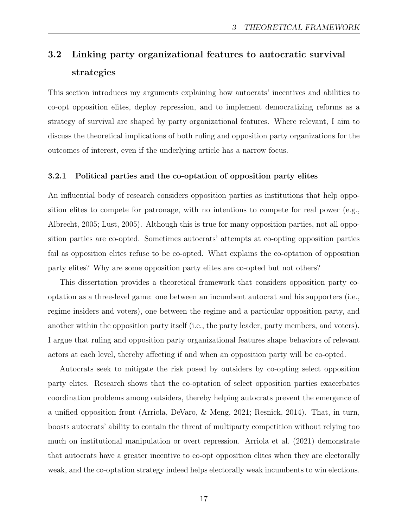## 3.2 Linking party organizational features to autocratic survival strategies

This section introduces my arguments explaining how autocrats' incentives and abilities to co-opt opposition elites, deploy repression, and to implement democratizing reforms as a strategy of survival are shaped by party organizational features. Where relevant, I aim to discuss the theoretical implications of both ruling and opposition party organizations for the outcomes of interest, even if the underlying article has a narrow focus.

#### 3.2.1 Political parties and the co-optation of opposition party elites

An influential body of research considers opposition parties as institutions that help opposition elites to compete for patronage, with no intentions to compete for real power (e.g., Albrecht, 2005; Lust, 2005). Although this is true for many opposition parties, not all opposition parties are co-opted. Sometimes autocrats' attempts at co-opting opposition parties fail as opposition elites refuse to be co-opted. What explains the co-optation of opposition party elites? Why are some opposition party elites are co-opted but not others?

This dissertation provides a theoretical framework that considers opposition party cooptation as a three-level game: one between an incumbent autocrat and his supporters (i.e., regime insiders and voters), one between the regime and a particular opposition party, and another within the opposition party itself (i.e., the party leader, party members, and voters). I argue that ruling and opposition party organizational features shape behaviors of relevant actors at each level, thereby affecting if and when an opposition party will be co-opted.

Autocrats seek to mitigate the risk posed by outsiders by co-opting select opposition party elites. Research shows that the co-optation of select opposition parties exacerbates coordination problems among outsiders, thereby helping autocrats prevent the emergence of a unified opposition front (Arriola, DeVaro, & Meng, 2021; Resnick, 2014). That, in turn, boosts autocrats' ability to contain the threat of multiparty competition without relying too much on institutional manipulation or overt repression. Arriola et al. (2021) demonstrate that autocrats have a greater incentive to co-opt opposition elites when they are electorally weak, and the co-optation strategy indeed helps electorally weak incumbents to win elections.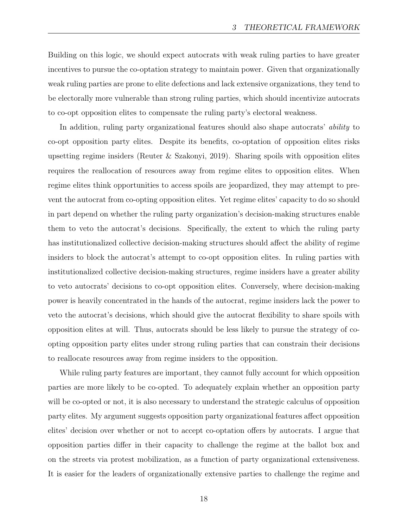Building on this logic, we should expect autocrats with weak ruling parties to have greater incentives to pursue the co-optation strategy to maintain power. Given that organizationally weak ruling parties are prone to elite defections and lack extensive organizations, they tend to be electorally more vulnerable than strong ruling parties, which should incentivize autocrats to co-opt opposition elites to compensate the ruling party's electoral weakness.

In addition, ruling party organizational features should also shape autocrats' *ability* to co-opt opposition party elites. Despite its benefits, co-optation of opposition elites risks upsetting regime insiders (Reuter & Szakonyi, 2019). Sharing spoils with opposition elites requires the reallocation of resources away from regime elites to opposition elites. When regime elites think opportunities to access spoils are jeopardized, they may attempt to prevent the autocrat from co-opting opposition elites. Yet regime elites' capacity to do so should in part depend on whether the ruling party organization's decision-making structures enable them to veto the autocrat's decisions. Specifically, the extent to which the ruling party has institutionalized collective decision-making structures should affect the ability of regime insiders to block the autocrat's attempt to co-opt opposition elites. In ruling parties with institutionalized collective decision-making structures, regime insiders have a greater ability to veto autocrats' decisions to co-opt opposition elites. Conversely, where decision-making power is heavily concentrated in the hands of the autocrat, regime insiders lack the power to veto the autocrat's decisions, which should give the autocrat flexibility to share spoils with opposition elites at will. Thus, autocrats should be less likely to pursue the strategy of coopting opposition party elites under strong ruling parties that can constrain their decisions to reallocate resources away from regime insiders to the opposition.

While ruling party features are important, they cannot fully account for which opposition parties are more likely to be co-opted. To adequately explain whether an opposition party will be co-opted or not, it is also necessary to understand the strategic calculus of opposition party elites. My argument suggests opposition party organizational features affect opposition elites' decision over whether or not to accept co-optation offers by autocrats. I argue that opposition parties differ in their capacity to challenge the regime at the ballot box and on the streets via protest mobilization, as a function of party organizational extensiveness. It is easier for the leaders of organizationally extensive parties to challenge the regime and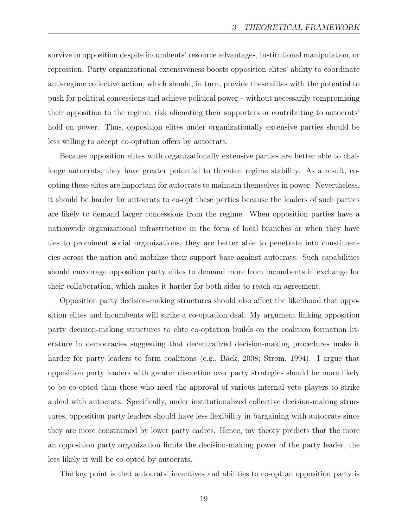survive in opposition despite incumbents' resource advantages, institutional manipulation, or repression. Party organizational extensiveness boosts opposition elites' ability to coordinate anti-regime collective action, which should, in turn, provide these elites with the potential to push for political concessions and achieve political power – without necessarily compromising their opposition to the regime, risk alienating their supporters or contributing to autocrats' hold on power. Thus, opposition elites under organizationally extensive parties should be less willing to accept co-optation offers by autocrats.

Because opposition elites with organizationally extensive parties are better able to challenge autocrats, they have greater potential to threaten regime stability. As a result, coopting these elites are important for autocrats to maintain themselves in power. Nevertheless, it should be harder for autocrats to co-opt these parties because the leaders of such parties are likely to demand larger concessions from the regime. When opposition parties have a nationwide organizational infrastructure in the form of local branches or when they have ties to prominent social organizations, they are better able to penetrate into constituencies across the nation and mobilize their support base against autocrats. Such capabilities should encourage opposition party elites to demand more from incumbents in exchange for their collaboration, which makes it harder for both sides to reach an agreement.

Opposition party decision-making structures should also affect the likelihood that opposition elites and incumbents will strike a co-optation deal. My argument linking opposition party decision-making structures to elite co-optation builds on the coalition formation literature in democracies suggesting that decentralized decision-making procedures make it harder for party leaders to form coalitions (e.g., Bäck, 2008; Strøm, 1994). I argue that opposition party leaders with greater discretion over party strategies should be more likely to be co-opted than those who need the approval of various internal veto players to strike a deal with autocrats. Specifically, under institutionalized collective decision-making structures, opposition party leaders should have less flexibility in bargaining with autocrats since they are more constrained by lower party cadres. Hence, my theory predicts that the more an opposition party organization limits the decision-making power of the party leader, the less likely it will be co-opted by autocrats.

The key point is that autocrats' incentives and abilities to co-opt an opposition party is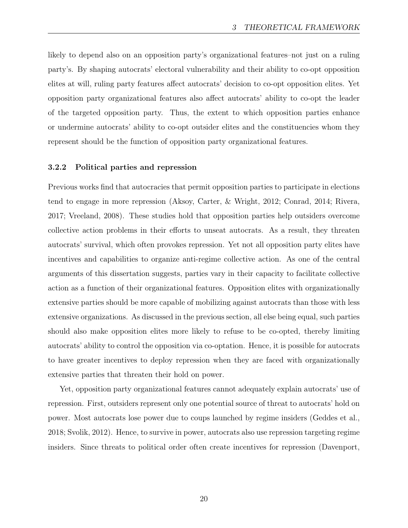likely to depend also on an opposition party's organizational features–not just on a ruling party's. By shaping autocrats' electoral vulnerability and their ability to co-opt opposition elites at will, ruling party features affect autocrats' decision to co-opt opposition elites. Yet opposition party organizational features also affect autocrats' ability to co-opt the leader of the targeted opposition party. Thus, the extent to which opposition parties enhance or undermine autocrats' ability to co-opt outsider elites and the constituencies whom they represent should be the function of opposition party organizational features.

#### 3.2.2 Political parties and repression

Previous works find that autocracies that permit opposition parties to participate in elections tend to engage in more repression (Aksoy, Carter, & Wright, 2012; Conrad, 2014; Rivera, 2017; Vreeland, 2008). These studies hold that opposition parties help outsiders overcome collective action problems in their efforts to unseat autocrats. As a result, they threaten autocrats' survival, which often provokes repression. Yet not all opposition party elites have incentives and capabilities to organize anti-regime collective action. As one of the central arguments of this dissertation suggests, parties vary in their capacity to facilitate collective action as a function of their organizational features. Opposition elites with organizationally extensive parties should be more capable of mobilizing against autocrats than those with less extensive organizations. As discussed in the previous section, all else being equal, such parties should also make opposition elites more likely to refuse to be co-opted, thereby limiting autocrats' ability to control the opposition via co-optation. Hence, it is possible for autocrats to have greater incentives to deploy repression when they are faced with organizationally extensive parties that threaten their hold on power.

Yet, opposition party organizational features cannot adequately explain autocrats' use of repression. First, outsiders represent only one potential source of threat to autocrats' hold on power. Most autocrats lose power due to coups launched by regime insiders (Geddes et al., 2018; Svolik, 2012). Hence, to survive in power, autocrats also use repression targeting regime insiders. Since threats to political order often create incentives for repression (Davenport,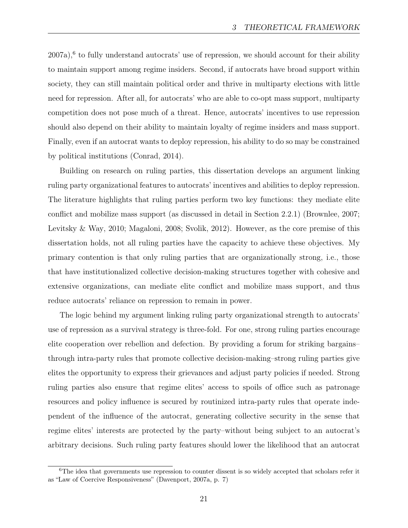$2007a$ ,<sup>6</sup> to fully understand autocrats' use of repression, we should account for their ability to maintain support among regime insiders. Second, if autocrats have broad support within society, they can still maintain political order and thrive in multiparty elections with little need for repression. After all, for autocrats' who are able to co-opt mass support, multiparty competition does not pose much of a threat. Hence, autocrats' incentives to use repression should also depend on their ability to maintain loyalty of regime insiders and mass support. Finally, even if an autocrat wants to deploy repression, his ability to do so may be constrained by political institutions (Conrad, 2014).

Building on research on ruling parties, this dissertation develops an argument linking ruling party organizational features to autocrats' incentives and abilities to deploy repression. The literature highlights that ruling parties perform two key functions: they mediate elite conflict and mobilize mass support (as discussed in detail in Section 2.2.1) (Brownlee, 2007; Levitsky & Way, 2010; Magaloni, 2008; Svolik, 2012). However, as the core premise of this dissertation holds, not all ruling parties have the capacity to achieve these objectives. My primary contention is that only ruling parties that are organizationally strong, i.e., those that have institutionalized collective decision-making structures together with cohesive and extensive organizations, can mediate elite conflict and mobilize mass support, and thus reduce autocrats' reliance on repression to remain in power.

The logic behind my argument linking ruling party organizational strength to autocrats' use of repression as a survival strategy is three-fold. For one, strong ruling parties encourage elite cooperation over rebellion and defection. By providing a forum for striking bargains– through intra-party rules that promote collective decision-making–strong ruling parties give elites the opportunity to express their grievances and adjust party policies if needed. Strong ruling parties also ensure that regime elites' access to spoils of office such as patronage resources and policy influence is secured by routinized intra-party rules that operate independent of the influence of the autocrat, generating collective security in the sense that regime elites' interests are protected by the party–without being subject to an autocrat's arbitrary decisions. Such ruling party features should lower the likelihood that an autocrat

<sup>&</sup>lt;sup>6</sup>The idea that governments use repression to counter dissent is so widely accepted that scholars refer it as "Law of Coercive Responsiveness" (Davenport, 2007a, p. 7)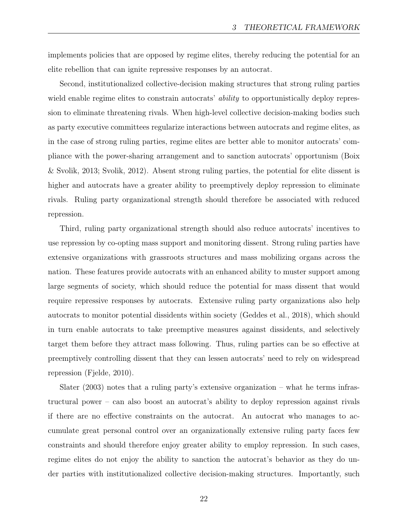implements policies that are opposed by regime elites, thereby reducing the potential for an elite rebellion that can ignite repressive responses by an autocrat.

Second, institutionalized collective-decision making structures that strong ruling parties wield enable regime elites to constrain autocrats' *ability* to opportunistically deploy repression to eliminate threatening rivals. When high-level collective decision-making bodies such as party executive committees regularize interactions between autocrats and regime elites, as in the case of strong ruling parties, regime elites are better able to monitor autocrats' compliance with the power-sharing arrangement and to sanction autocrats' opportunism (Boix & Svolik, 2013; Svolik, 2012). Absent strong ruling parties, the potential for elite dissent is higher and autocrats have a greater ability to preemptively deploy repression to eliminate rivals. Ruling party organizational strength should therefore be associated with reduced repression.

Third, ruling party organizational strength should also reduce autocrats' incentives to use repression by co-opting mass support and monitoring dissent. Strong ruling parties have extensive organizations with grassroots structures and mass mobilizing organs across the nation. These features provide autocrats with an enhanced ability to muster support among large segments of society, which should reduce the potential for mass dissent that would require repressive responses by autocrats. Extensive ruling party organizations also help autocrats to monitor potential dissidents within society (Geddes et al., 2018), which should in turn enable autocrats to take preemptive measures against dissidents, and selectively target them before they attract mass following. Thus, ruling parties can be so effective at preemptively controlling dissent that they can lessen autocrats' need to rely on widespread repression (Fjelde, 2010).

Slater (2003) notes that a ruling party's extensive organization – what he terms infrastructural power – can also boost an autocrat's ability to deploy repression against rivals if there are no effective constraints on the autocrat. An autocrat who manages to accumulate great personal control over an organizationally extensive ruling party faces few constraints and should therefore enjoy greater ability to employ repression. In such cases, regime elites do not enjoy the ability to sanction the autocrat's behavior as they do under parties with institutionalized collective decision-making structures. Importantly, such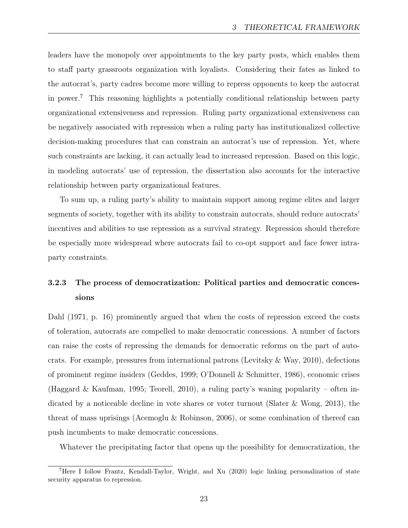leaders have the monopoly over appointments to the key party posts, which enables them to staff party grassroots organization with loyalists. Considering their fates as linked to the autocrat's, party cadres become more willing to repress opponents to keep the autocrat in power.7 This reasoning highlights a potentially conditional relationship between party organizational extensiveness and repression. Ruling party organizational extensiveness can be negatively associated with repression when a ruling party has institutionalized collective decision-making procedures that can constrain an autocrat's use of repression. Yet, where such constraints are lacking, it can actually lead to increased repression. Based on this logic, in modeling autocrats' use of repression, the dissertation also accounts for the interactive relationship between party organizational features.

To sum up, a ruling party's ability to maintain support among regime elites and larger segments of society, together with its ability to constrain autocrats, should reduce autocrats' incentives and abilities to use repression as a survival strategy. Repression should therefore be especially more widespread where autocrats fail to co-opt support and face fewer intraparty constraints.

### 3.2.3 The process of democratization: Political parties and democratic concessions

Dahl (1971, p. 16) prominently argued that when the costs of repression exceed the costs of toleration, autocrats are compelled to make democratic concessions. A number of factors can raise the costs of repressing the demands for democratic reforms on the part of autocrats. For example, pressures from international patrons (Levitsky & Way, 2010), defections of prominent regime insiders (Geddes, 1999; O'Donnell & Schmitter, 1986), economic crises (Haggard & Kaufman, 1995; Teorell, 2010), a ruling party's waning popularity – often indicated by a noticeable decline in vote shares or voter turnout (Slater & Wong, 2013), the threat of mass uprisings (Acemoglu & Robinson, 2006), or some combination of thereof can push incumbents to make democratic concessions.

Whatever the precipitating factor that opens up the possibility for democratization, the

<sup>7</sup>Here I follow Frantz, Kendall-Taylor, Wright, and Xu (2020) logic linking personalization of state security apparatus to repression.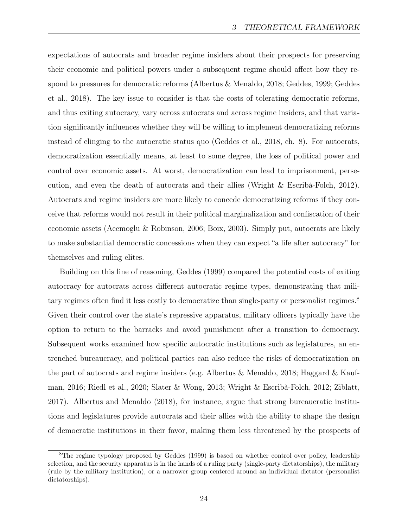expectations of autocrats and broader regime insiders about their prospects for preserving their economic and political powers under a subsequent regime should affect how they respond to pressures for democratic reforms (Albertus & Menaldo, 2018; Geddes, 1999; Geddes et al., 2018). The key issue to consider is that the costs of tolerating democratic reforms, and thus exiting autocracy, vary across autocrats and across regime insiders, and that variation significantly influences whether they will be willing to implement democratizing reforms instead of clinging to the autocratic status quo (Geddes et al., 2018, ch. 8). For autocrats, democratization essentially means, at least to some degree, the loss of political power and control over economic assets. At worst, democratization can lead to imprisonment, persecution, and even the death of autocrats and their allies (Wright & Escribà-Folch, 2012). Autocrats and regime insiders are more likely to concede democratizing reforms if they conceive that reforms would not result in their political marginalization and confiscation of their economic assets (Acemoglu & Robinson, 2006; Boix, 2003). Simply put, autocrats are likely to make substantial democratic concessions when they can expect "a life after autocracy" for themselves and ruling elites.

Building on this line of reasoning, Geddes (1999) compared the potential costs of exiting autocracy for autocrats across different autocratic regime types, demonstrating that military regimes often find it less costly to democratize than single-party or personalist regimes.<sup>8</sup> Given their control over the state's repressive apparatus, military officers typically have the option to return to the barracks and avoid punishment after a transition to democracy. Subsequent works examined how specific autocratic institutions such as legislatures, an entrenched bureaucracy, and political parties can also reduce the risks of democratization on the part of autocrats and regime insiders (e.g. Albertus & Menaldo, 2018; Haggard & Kaufman, 2016; Riedl et al., 2020; Slater & Wong, 2013; Wright & Escribà-Folch, 2012; Ziblatt, 2017). Albertus and Menaldo (2018), for instance, argue that strong bureaucratic institutions and legislatures provide autocrats and their allies with the ability to shape the design of democratic institutions in their favor, making them less threatened by the prospects of

<sup>&</sup>lt;sup>8</sup>The regime typology proposed by Geddes (1999) is based on whether control over policy, leadership selection, and the security apparatus is in the hands of a ruling party (single-party dictatorships), the military (rule by the military institution), or a narrower group centered around an individual dictator (personalist dictatorships).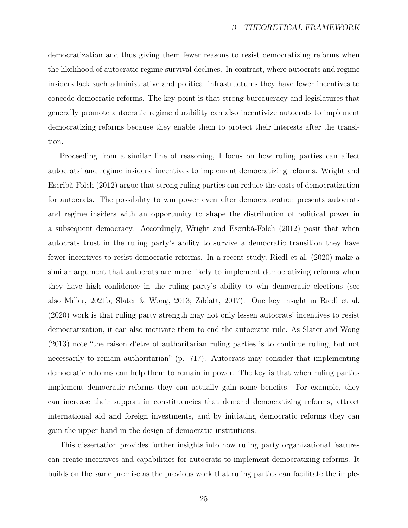democratization and thus giving them fewer reasons to resist democratizing reforms when the likelihood of autocratic regime survival declines. In contrast, where autocrats and regime insiders lack such administrative and political infrastructures they have fewer incentives to concede democratic reforms. The key point is that strong bureaucracy and legislatures that generally promote autocratic regime durability can also incentivize autocrats to implement democratizing reforms because they enable them to protect their interests after the transition.

Proceeding from a similar line of reasoning, I focus on how ruling parties can affect autocrats' and regime insiders' incentives to implement democratizing reforms. Wright and Escribà-Folch (2012) argue that strong ruling parties can reduce the costs of democratization for autocrats. The possibility to win power even after democratization presents autocrats and regime insiders with an opportunity to shape the distribution of political power in a subsequent democracy. Accordingly, Wright and Escribà-Folch (2012) posit that when autocrats trust in the ruling party's ability to survive a democratic transition they have fewer incentives to resist democratic reforms. In a recent study, Riedl et al. (2020) make a similar argument that autocrats are more likely to implement democratizing reforms when they have high confidence in the ruling party's ability to win democratic elections (see also Miller, 2021b; Slater & Wong, 2013; Ziblatt, 2017). One key insight in Riedl et al. (2020) work is that ruling party strength may not only lessen autocrats' incentives to resist democratization, it can also motivate them to end the autocratic rule. As Slater and Wong (2013) note "the raison d'etre of authoritarian ruling parties is to continue ruling, but not necessarily to remain authoritarian" (p. 717). Autocrats may consider that implementing democratic reforms can help them to remain in power. The key is that when ruling parties implement democratic reforms they can actually gain some benefits. For example, they can increase their support in constituencies that demand democratizing reforms, attract international aid and foreign investments, and by initiating democratic reforms they can gain the upper hand in the design of democratic institutions.

This dissertation provides further insights into how ruling party organizational features can create incentives and capabilities for autocrats to implement democratizing reforms. It builds on the same premise as the previous work that ruling parties can facilitate the imple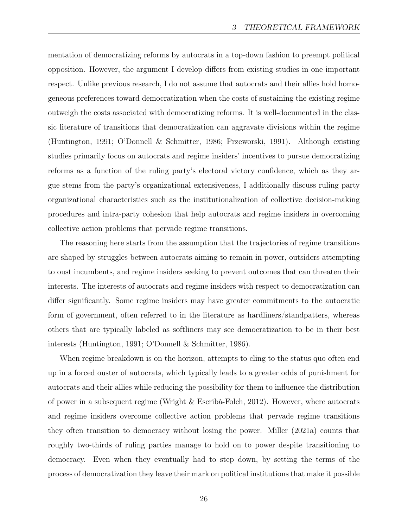mentation of democratizing reforms by autocrats in a top-down fashion to preempt political opposition. However, the argument I develop differs from existing studies in one important respect. Unlike previous research, I do not assume that autocrats and their allies hold homogeneous preferences toward democratization when the costs of sustaining the existing regime outweigh the costs associated with democratizing reforms. It is well-documented in the classic literature of transitions that democratization can aggravate divisions within the regime (Huntington, 1991; O'Donnell & Schmitter, 1986; Przeworski, 1991). Although existing studies primarily focus on autocrats and regime insiders' incentives to pursue democratizing reforms as a function of the ruling party's electoral victory confidence, which as they argue stems from the party's organizational extensiveness, I additionally discuss ruling party organizational characteristics such as the institutionalization of collective decision-making procedures and intra-party cohesion that help autocrats and regime insiders in overcoming collective action problems that pervade regime transitions.

The reasoning here starts from the assumption that the trajectories of regime transitions are shaped by struggles between autocrats aiming to remain in power, outsiders attempting to oust incumbents, and regime insiders seeking to prevent outcomes that can threaten their interests. The interests of autocrats and regime insiders with respect to democratization can differ significantly. Some regime insiders may have greater commitments to the autocratic form of government, often referred to in the literature as hardliners/standpatters, whereas others that are typically labeled as softliners may see democratization to be in their best interests (Huntington, 1991; O'Donnell & Schmitter, 1986).

When regime breakdown is on the horizon, attempts to cling to the status quo often end up in a forced ouster of autocrats, which typically leads to a greater odds of punishment for autocrats and their allies while reducing the possibility for them to influence the distribution of power in a subsequent regime (Wright & Escribà-Folch, 2012). However, where autocrats and regime insiders overcome collective action problems that pervade regime transitions they often transition to democracy without losing the power. Miller (2021a) counts that roughly two-thirds of ruling parties manage to hold on to power despite transitioning to democracy. Even when they eventually had to step down, by setting the terms of the process of democratization they leave their mark on political institutions that make it possible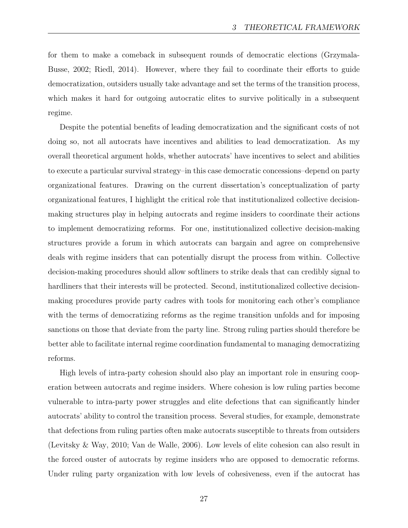for them to make a comeback in subsequent rounds of democratic elections (Grzymala-Busse, 2002; Riedl, 2014). However, where they fail to coordinate their efforts to guide democratization, outsiders usually take advantage and set the terms of the transition process, which makes it hard for outgoing autocratic elites to survive politically in a subsequent regime.

Despite the potential benefits of leading democratization and the significant costs of not doing so, not all autocrats have incentives and abilities to lead democratization. As my overall theoretical argument holds, whether autocrats' have incentives to select and abilities to execute a particular survival strategy–in this case democratic concessions–depend on party organizational features. Drawing on the current dissertation's conceptualization of party organizational features, I highlight the critical role that institutionalized collective decisionmaking structures play in helping autocrats and regime insiders to coordinate their actions to implement democratizing reforms. For one, institutionalized collective decision-making structures provide a forum in which autocrats can bargain and agree on comprehensive deals with regime insiders that can potentially disrupt the process from within. Collective decision-making procedures should allow softliners to strike deals that can credibly signal to hardliners that their interests will be protected. Second, institutionalized collective decisionmaking procedures provide party cadres with tools for monitoring each other's compliance with the terms of democratizing reforms as the regime transition unfolds and for imposing sanctions on those that deviate from the party line. Strong ruling parties should therefore be better able to facilitate internal regime coordination fundamental to managing democratizing reforms.

High levels of intra-party cohesion should also play an important role in ensuring cooperation between autocrats and regime insiders. Where cohesion is low ruling parties become vulnerable to intra-party power struggles and elite defections that can significantly hinder autocrats' ability to control the transition process. Several studies, for example, demonstrate that defections from ruling parties often make autocrats susceptible to threats from outsiders (Levitsky & Way, 2010; Van de Walle, 2006). Low levels of elite cohesion can also result in the forced ouster of autocrats by regime insiders who are opposed to democratic reforms. Under ruling party organization with low levels of cohesiveness, even if the autocrat has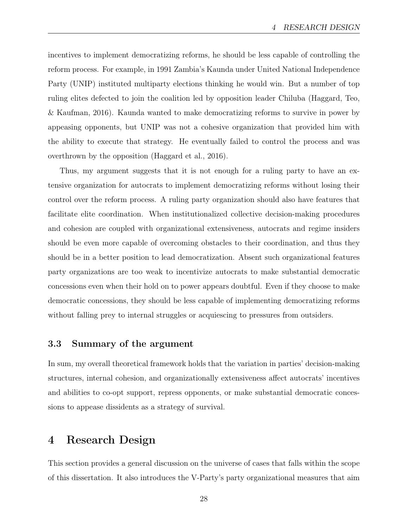incentives to implement democratizing reforms, he should be less capable of controlling the reform process. For example, in 1991 Zambia's Kaunda under United National Independence Party (UNIP) instituted multiparty elections thinking he would win. But a number of top ruling elites defected to join the coalition led by opposition leader Chiluba (Haggard, Teo, & Kaufman, 2016). Kaunda wanted to make democratizing reforms to survive in power by appeasing opponents, but UNIP was not a cohesive organization that provided him with the ability to execute that strategy. He eventually failed to control the process and was overthrown by the opposition (Haggard et al., 2016).

Thus, my argument suggests that it is not enough for a ruling party to have an extensive organization for autocrats to implement democratizing reforms without losing their control over the reform process. A ruling party organization should also have features that facilitate elite coordination. When institutionalized collective decision-making procedures and cohesion are coupled with organizational extensiveness, autocrats and regime insiders should be even more capable of overcoming obstacles to their coordination, and thus they should be in a better position to lead democratization. Absent such organizational features party organizations are too weak to incentivize autocrats to make substantial democratic concessions even when their hold on to power appears doubtful. Even if they choose to make democratic concessions, they should be less capable of implementing democratizing reforms without falling prey to internal struggles or acquiescing to pressures from outsiders.

#### 3.3 Summary of the argument

In sum, my overall theoretical framework holds that the variation in parties' decision-making structures, internal cohesion, and organizationally extensiveness affect autocrats' incentives and abilities to co-opt support, repress opponents, or make substantial democratic concessions to appease dissidents as a strategy of survival.

### 4 Research Design

This section provides a general discussion on the universe of cases that falls within the scope of this dissertation. It also introduces the V-Party's party organizational measures that aim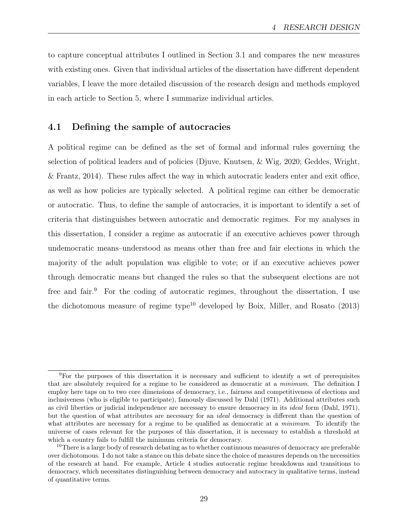to capture conceptual attributes I outlined in Section 3.1 and compares the new measures with existing ones. Given that individual articles of the dissertation have different dependent variables, I leave the more detailed discussion of the research design and methods employed in each article to Section 5, where I summarize individual articles.

#### 4.1 Defining the sample of autocracies

A political regime can be defined as the set of formal and informal rules governing the selection of political leaders and of policies (Djuve, Knutsen, & Wig, 2020; Geddes, Wright, & Frantz, 2014). These rules affect the way in which autocratic leaders enter and exit office, as well as how policies are typically selected. A political regime can either be democratic or autocratic. Thus, to define the sample of autocracies, it is important to identify a set of criteria that distinguishes between autocratic and democratic regimes. For my analyses in this dissertation, I consider a regime as autocratic if an executive achieves power through undemocratic means–understood as means other than free and fair elections in which the majority of the adult population was eligible to vote; or if an executive achieves power through democratic means but changed the rules so that the subsequent elections are not free and fair.<sup>9</sup> For the coding of autocratic regimes, throughout the dissertation, I use the dichotomous measure of regime type<sup>10</sup> developed by Boix, Miller, and Rosato  $(2013)$ 

<sup>9</sup>For the purposes of this dissertation it is necessary and sufficient to identify a set of prerequisites that are absolutely required for a regime to be considered as democratic at a minimum. The definition I employ here taps on to two core dimensions of democracy, i.e., fairness and competitiveness of elections and inclusiveness (who is eligible to participate), famously discussed by Dahl (1971). Additional attributes such as civil liberties or judicial independence are necessary to ensure democracy in its ideal form (Dahl, 1971), but the question of what attributes are necessary for an ideal democracy is different than the question of what attributes are necessary for a regime to be qualified as democratic at a *minimum*. To identify the universe of cases relevant for the purposes of this dissertation, it is necessary to establish a threshold at which a country fails to fulfill the minimum criteria for democracy.

 $10$ There is a large body of research debating as to whether continuous measures of democracy are preferable over dichotomous. I do not take a stance on this debate since the choice of measures depends on the necessities of the research at hand. For example, Article 4 studies autocratic regime breakdowns and transitions to democracy, which necessitates distinguishing between democracy and autocracy in qualitative terms, instead of quantitative terms.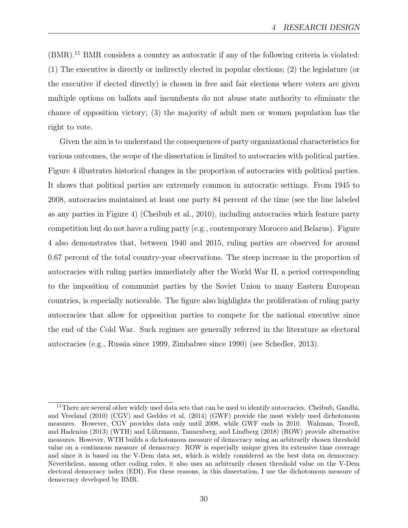(BMR).11 BMR considers a country as autocratic if any of the following criteria is violated: (1) The executive is directly or indirectly elected in popular elections; (2) the legislature (or the executive if elected directly) is chosen in free and fair elections where voters are given multiple options on ballots and incumbents do not abuse state authority to eliminate the chance of opposition victory; (3) the majority of adult men or women population has the right to vote.

Given the aim is to understand the consequences of party organizational characteristics for various outcomes, the scope of the dissertation is limited to autocracies with political parties. Figure 4 illustrates historical changes in the proportion of autocracies with political parties. It shows that political parties are extremely common in autocratic settings. From 1945 to 2008, autocracies maintained at least one party 84 percent of the time (see the line labeled as any parties in Figure 4) (Cheibub et al., 2010), including autocracies which feature party competition but do not have a ruling party (e.g., contemporary Morocco and Belarus). Figure 4 also demonstrates that, between 1940 and 2015, ruling parties are observed for around 0.67 percent of the total country-year observations. The steep increase in the proportion of autocracies with ruling parties immediately after the World War II, a period corresponding to the imposition of communist parties by the Soviet Union to many Eastern European countries, is especially noticeable. The figure also highlights the proliferation of ruling party autocracies that allow for opposition parties to compete for the national executive since the end of the Cold War. Such regimes are generally referred in the literature as electoral autocracies (e.g., Russia since 1999, Zimbabwe since 1990) (see Schedler, 2013).

<sup>&</sup>lt;sup>11</sup>There are several other widely used data sets that can be used to identify autocracies. Cheibub, Gandhi, and Vreeland (2010) (CGV) and Geddes et al. (2014) (GWF) provide the most widely used dichotomous measures. However, CGV provides data only until 2008, while GWF ends in 2010. Wahman, Teorell, and Hadenius (2013) (WTH) and Lührmann, Tannenberg, and Lindberg (2018) (ROW) provide alternative measures. However, WTH builds a dichotomous measure of democracy using an arbitrarily chosen threshold value on a continuous measure of democracy. ROW is especially unique given its extensive time coverage and since it is based on the V-Dem data set, which is widely considered as the best data on democracy. Nevertheless, among other coding rules, it also uses an arbitrarily chosen threshold value on the V-Dem electoral democracy index (EDI). For these reasons, in this dissertation, I use the dichotomous measure of democracy developed by BMR.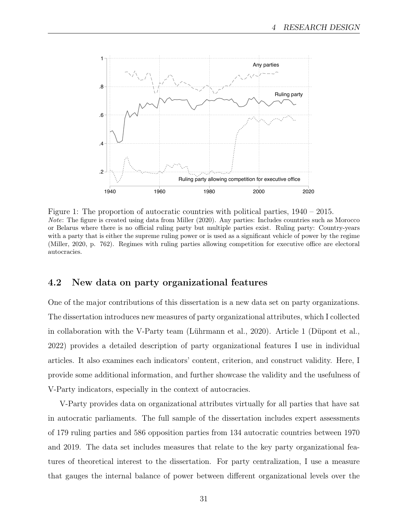

Figure 1: The proportion of autocratic countries with political parties, 1940 – 2015. Note: The figure is created using data from Miller (2020). Any parties: Includes countries such as Morocco or Belarus where there is no official ruling party but multiple parties exist. Ruling party: Country-years with a party that is either the supreme ruling power or is used as a significant vehicle of power by the regime (Miller, 2020, p. 762). Regimes with ruling parties allowing competition for executive office are electoral autocracies.

#### 4.2 New data on party organizational features

One of the major contributions of this dissertation is a new data set on party organizations. The dissertation introduces new measures of party organizational attributes, which I collected in collaboration with the V-Party team (Lührmann et al., 2020). Article 1 (Düpont et al., 2022) provides a detailed description of party organizational features I use in individual articles. It also examines each indicators' content, criterion, and construct validity. Here, I provide some additional information, and further showcase the validity and the usefulness of V-Party indicators, especially in the context of autocracies.

V-Party provides data on organizational attributes virtually for all parties that have sat in autocratic parliaments. The full sample of the dissertation includes expert assessments of 179 ruling parties and 586 opposition parties from 134 autocratic countries between 1970 and 2019. The data set includes measures that relate to the key party organizational features of theoretical interest to the dissertation. For party centralization, I use a measure that gauges the internal balance of power between different organizational levels over the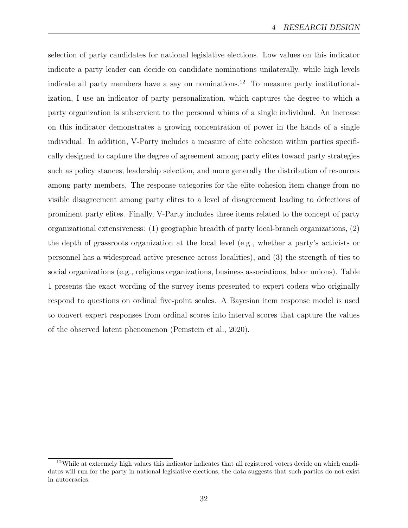selection of party candidates for national legislative elections. Low values on this indicator indicate a party leader can decide on candidate nominations unilaterally, while high levels indicate all party members have a say on nominations.<sup>12</sup> To measure party institutionalization, I use an indicator of party personalization, which captures the degree to which a party organization is subservient to the personal whims of a single individual. An increase on this indicator demonstrates a growing concentration of power in the hands of a single individual. In addition, V-Party includes a measure of elite cohesion within parties specifically designed to capture the degree of agreement among party elites toward party strategies such as policy stances, leadership selection, and more generally the distribution of resources among party members. The response categories for the elite cohesion item change from no visible disagreement among party elites to a level of disagreement leading to defections of prominent party elites. Finally, V-Party includes three items related to the concept of party organizational extensiveness: (1) geographic breadth of party local-branch organizations, (2) the depth of grassroots organization at the local level (e.g., whether a party's activists or personnel has a widespread active presence across localities), and (3) the strength of ties to social organizations (e.g., religious organizations, business associations, labor unions). Table 1 presents the exact wording of the survey items presented to expert coders who originally respond to questions on ordinal five-point scales. A Bayesian item response model is used to convert expert responses from ordinal scores into interval scores that capture the values of the observed latent phenomenon (Pemstein et al., 2020).

 $12$ While at extremely high values this indicator indicates that all registered voters decide on which candidates will run for the party in national legislative elections, the data suggests that such parties do not exist in autocracies.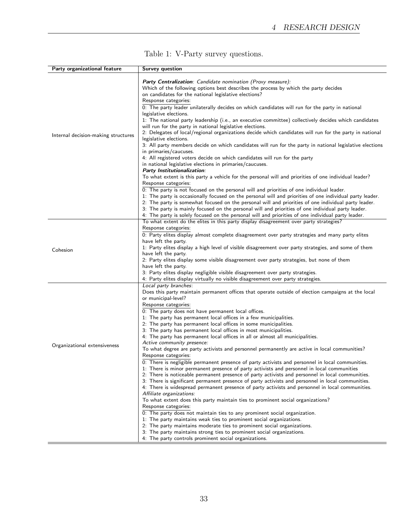| Party organizational feature        | <b>Survey question</b>                                                                                         |
|-------------------------------------|----------------------------------------------------------------------------------------------------------------|
|                                     |                                                                                                                |
|                                     | Party Centralization: Candidate nomination (Proxy measure):                                                    |
|                                     | Which of the following options best describes the process by which the party decides                           |
|                                     | on candidates for the national legislative elections?                                                          |
|                                     | Response categories:                                                                                           |
|                                     | 0: The party leader unilaterally decides on which candidates will run for the party in national                |
|                                     | legislative elections.                                                                                         |
|                                     | 1: The national party leadership (i.e., an executive committee) collectively decides which candidates          |
|                                     | will run for the party in national legislative elections.                                                      |
|                                     | 2: Delegates of local/regional organizations decide which candidates will run for the party in national        |
| Internal decision-making structures | legislative elections.                                                                                         |
|                                     | 3: All party members decide on which candidates will run for the party in national legislative elections       |
|                                     | in primaries/caucuses.                                                                                         |
|                                     | 4: All registered voters decide on which candidates will run for the party                                     |
|                                     | in national legislative elections in primaries/caucuses.                                                       |
|                                     | Party Institutionalization:                                                                                    |
|                                     | To what extent is this party a vehicle for the personal will and priorities of one individual leader?          |
|                                     | Response categories:                                                                                           |
|                                     | 0: The party is not focused on the personal will and priorities of one individual leader.                      |
|                                     | 1: The party is occasionally focused on the personal will and priorities of one individual party leader.       |
|                                     | 2: The party is somewhat focused on the personal will and priorities of one individual party leader.           |
|                                     | 3: The party is mainly focused on the personal will and priorities of one individual party leader.             |
|                                     | 4: The party is solely focused on the personal will and priorities of one individual party leader.             |
|                                     | To what extent do the elites in this party display disagreement over party strategies?                         |
|                                     | Response categories:                                                                                           |
|                                     | $\overline{0}$ : Party elites display almost complete disagreement over party strategies and many party elites |
|                                     | have left the party.                                                                                           |
|                                     | 1: Party elites display a high level of visible disagreement over party strategies, and some of them           |
| Cohesion                            | have left the party.                                                                                           |
|                                     | 2: Party elites display some visible disagreement over party strategies, but none of them                      |
|                                     | have left the party.                                                                                           |
|                                     | 3: Party elites display negligible visible disagreement over party strategies.                                 |
|                                     | 4: Party elites display virtually no visible disagreement over party strategies.                               |
|                                     | Local party branches:                                                                                          |
|                                     | Does this party maintain permanent offices that operate outside of election campaigns at the local             |
|                                     | or municipal-level?                                                                                            |
|                                     | Response categories:                                                                                           |
|                                     | 0: The party does not have permanent local offices.                                                            |
|                                     | 1: The party has permanent local offices in a few municipalities.                                              |
|                                     | 2: The party has permanent local offices in some municipalities.                                               |
|                                     | 3: The party has permanent local offices in most municipalities.                                               |
|                                     | 4: The party has permanent local offices in all or almost all municipalities.                                  |
|                                     | Active community presence:                                                                                     |
| Organizational extensiveness        | To what degree are party activists and personnel permanently are active in local communities?                  |
|                                     | Response categories:                                                                                           |
|                                     | 0: There is negligible permanent presence of party activists and personnel in local communities.               |
|                                     | 1: There is minor permanent presence of party activists and personnel in local communities                     |
|                                     | 2: There is noticeable permanent presence of party activists and personnel in local communities.               |
|                                     | 3: There is significant permanent presence of party activists and personnel in local communities.              |
|                                     | 4: There is widespread permanent presence of party activists and personnel in local communities.               |
|                                     | Affiliate organizations:                                                                                       |
|                                     | To what extent does this party maintain ties to prominent social organizations?                                |
|                                     | Response categories:                                                                                           |
|                                     | 0: The party does not maintain ties to any prominent social organization.                                      |
|                                     | 1: The party maintains weak ties to prominent social organizations.                                            |
|                                     | 2: The party maintains moderate ties to prominent social organizations.                                        |
|                                     | 3: The party maintains strong ties to prominent social organizations.                                          |
|                                     | 4: The party controls prominent social organizations.                                                          |
|                                     |                                                                                                                |

### Table 1: V-Party survey questions.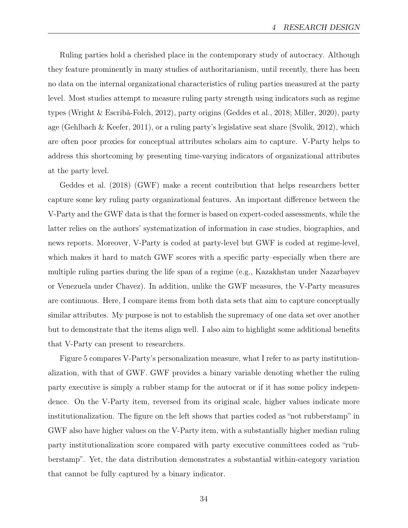Ruling parties hold a cherished place in the contemporary study of autocracy. Although they feature prominently in many studies of authoritarianism, until recently, there has been no data on the internal organizational characteristics of ruling parties measured at the party level. Most studies attempt to measure ruling party strength using indicators such as regime types (Wright & Escribà-Folch, 2012), party origins (Geddes et al., 2018; Miller, 2020), party age (Gehlbach & Keefer, 2011), or a ruling party's legislative seat share (Svolik, 2012), which are often poor proxies for conceptual attributes scholars aim to capture. V-Party helps to address this shortcoming by presenting time-varying indicators of organizational attributes at the party level.

Geddes et al. (2018) (GWF) make a recent contribution that helps researchers better capture some key ruling party organizational features. An important difference between the V-Party and the GWF data is that the former is based on expert-coded assessments, while the latter relies on the authors' systematization of information in case studies, biographies, and news reports. Moreover, V-Party is coded at party-level but GWF is coded at regime-level, which makes it hard to match GWF scores with a specific party–especially when there are multiple ruling parties during the life span of a regime (e.g., Kazakhstan under Nazarbayev or Venezuela under Chavez). In addition, unlike the GWF measures, the V-Party measures are continuous. Here, I compare items from both data sets that aim to capture conceptually similar attributes. My purpose is not to establish the supremacy of one data set over another but to demonstrate that the items align well. I also aim to highlight some additional benefits that V-Party can present to researchers.

Figure 5 compares V-Party's personalization measure, what I refer to as party institutionalization, with that of GWF. GWF provides a binary variable denoting whether the ruling party executive is simply a rubber stamp for the autocrat or if it has some policy independence. On the V-Party item, reversed from its original scale, higher values indicate more institutionalization. The figure on the left shows that parties coded as "not rubberstamp" in GWF also have higher values on the V-Party item, with a substantially higher median ruling party institutionalization score compared with party executive committees coded as "rubberstamp". Yet, the data distribution demonstrates a substantial within-category variation that cannot be fully captured by a binary indicator.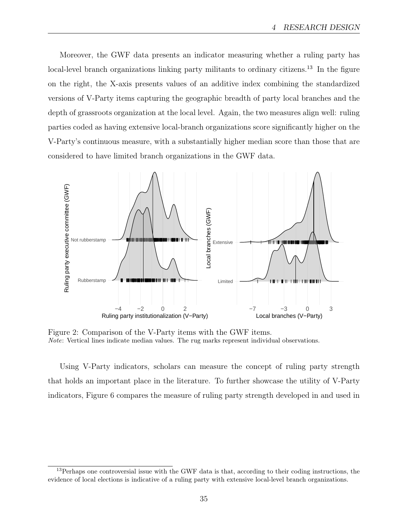Moreover, the GWF data presents an indicator measuring whether a ruling party has local-level branch organizations linking party militants to ordinary citizens.<sup>13</sup> In the figure on the right, the X-axis presents values of an additive index combining the standardized versions of V-Party items capturing the geographic breadth of party local branches and the depth of grassroots organization at the local level. Again, the two measures align well: ruling parties coded as having extensive local-branch organizations score significantly higher on the V-Party's continuous measure, with a substantially higher median score than those that are considered to have limited branch organizations in the GWF data.



Figure 2: Comparison of the V-Party items with the GWF items. Note: Vertical lines indicate median values. The rug marks represent individual observations.

Using V-Party indicators, scholars can measure the concept of ruling party strength that holds an important place in the literature. To further showcase the utility of V-Party indicators, Figure 6 compares the measure of ruling party strength developed in and used in

<sup>&</sup>lt;sup>13</sup>Perhaps one controversial issue with the GWF data is that, according to their coding instructions, the evidence of local elections is indicative of a ruling party with extensive local-level branch organizations.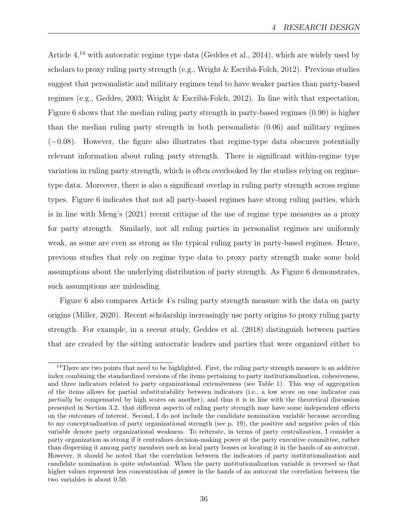Article  $4^{14}$  with autocratic regime type data (Geddes et al., 2014), which are widely used by scholars to proxy ruling party strength (e.g., Wright & Escribà-Folch, 2012). Previous studies suggest that personalistic and military regimes tend to have weaker parties than party-based regimes (e.g., Geddes, 2003; Wright & Escribà-Folch, 2012). In line with that expectation, Figure 6 shows that the median ruling party strength in party-based regimes (0.90) is higher than the median ruling party strength in both personalistic (0.06) and military regimes  $(-0.08)$ . However, the figure also illustrates that regime-type data obscures potentially relevant information about ruling party strength. There is significant within-regime type variation in ruling party strength, which is often overlooked by the studies relying on regimetype data. Moreover, there is also a significant overlap in ruling party strength across regime types. Figure 6 indicates that not all party-based regimes have strong ruling parties, which is in line with Meng's (2021) recent critique of the use of regime type measures as a proxy for party strength. Similarly, not all ruling parties in personalist regimes are uniformly weak, as some are even as strong as the typical ruling party in party-based regimes. Hence, previous studies that rely on regime type data to proxy party strength make some bold assumptions about the underlying distribution of party strength. As Figure 6 demonstrates, such assumptions are misleading.

Figure 6 also compares Article 4's ruling party strength measure with the data on party origins (Miller, 2020). Recent scholarship increasingly use party origins to proxy ruling party strength. For example, in a recent study, Geddes et al. (2018) distinguish between parties that are created by the sitting autocratic leaders and parties that were organized either to

 $14$ There are two points that need to be highlighted. First, the ruling party strength measure is an additive index combining the standardized versions of the items pertaining to party institutionalization, cohesiveness, and three indicators related to party organizational extensiveness (see Table 1). This way of aggregation of the items allows for partial substitutability between indicators (i.e., a low score on one indicator can partially be compensated by high scores on another), and thus it is in line with the theoretical discussion presented in Section 3.2. that different aspects of ruling party strength may have some independent effects on the outcomes of interest. Second, I do not include the candidate nomination variable because according to my conceptualization of party organizational strength (see p. 19), the positive and negative poles of this variable denote party organizational weakness. To reiterate, in terms of party centralization, I consider a party organization as strong if it centralizes decision-making power at the party executive committee, rather than dispersing it among party members such as local party bosses or locating it in the hands of an autocrat. However, it should be noted that the correlation between the indicators of party institutionalization and candidate nomination is quite substantial. When the party institutionalization variable is reversed so that higher values represent less concentration of power in the hands of an autocrat the correlation between the two variables is about 0.50.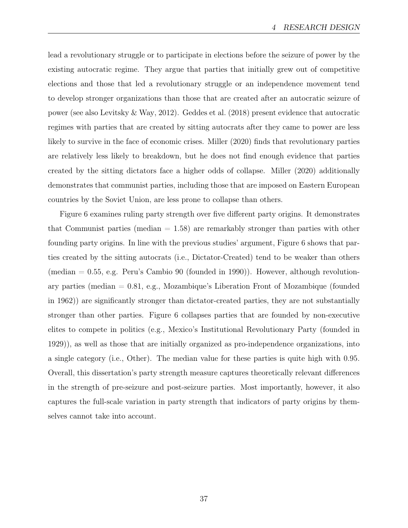lead a revolutionary struggle or to participate in elections before the seizure of power by the existing autocratic regime. They argue that parties that initially grew out of competitive elections and those that led a revolutionary struggle or an independence movement tend to develop stronger organizations than those that are created after an autocratic seizure of power (see also Levitsky & Way, 2012). Geddes et al. (2018) present evidence that autocratic regimes with parties that are created by sitting autocrats after they came to power are less likely to survive in the face of economic crises. Miller (2020) finds that revolutionary parties are relatively less likely to breakdown, but he does not find enough evidence that parties created by the sitting dictators face a higher odds of collapse. Miller (2020) additionally demonstrates that communist parties, including those that are imposed on Eastern European countries by the Soviet Union, are less prone to collapse than others.

Figure 6 examines ruling party strength over five different party origins. It demonstrates that Communist parties (median  $= 1.58$ ) are remarkably stronger than parties with other founding party origins. In line with the previous studies' argument, Figure 6 shows that parties created by the sitting autocrats (i.e., Dictator-Created) tend to be weaker than others (median  $= 0.55$ , e.g. Peru's Cambio 90 (founded in 1990)). However, although revolutionary parties (median = 0.81, e.g., Mozambique's Liberation Front of Mozambique (founded in 1962)) are significantly stronger than dictator-created parties, they are not substantially stronger than other parties. Figure 6 collapses parties that are founded by non-executive elites to compete in politics (e.g., Mexico's Institutional Revolutionary Party (founded in 1929)), as well as those that are initially organized as pro-independence organizations, into a single category (i.e., Other). The median value for these parties is quite high with 0.95. Overall, this dissertation's party strength measure captures theoretically relevant differences in the strength of pre-seizure and post-seizure parties. Most importantly, however, it also captures the full-scale variation in party strength that indicators of party origins by themselves cannot take into account.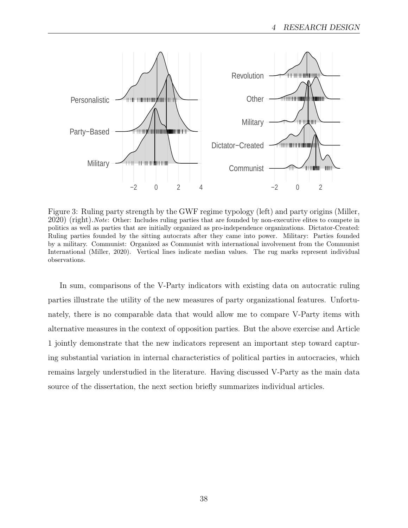

Figure 3: Ruling party strength by the GWF regime typology (left) and party origins (Miller, 2020) (right).Note: Other: Includes ruling parties that are founded by non-executive elites to compete in politics as well as parties that are initially organized as pro-independence organizations. Dictator-Created: Ruling parties founded by the sitting autocrats after they came into power. Military: Parties founded by a military. Communist: Organized as Communist with international involvement from the Communist International (Miller, 2020). Vertical lines indicate median values. The rug marks represent individual observations.

In sum, comparisons of the V-Party indicators with existing data on autocratic ruling parties illustrate the utility of the new measures of party organizational features. Unfortunately, there is no comparable data that would allow me to compare V-Party items with alternative measures in the context of opposition parties. But the above exercise and Article 1 jointly demonstrate that the new indicators represent an important step toward capturing substantial variation in internal characteristics of political parties in autocracies, which remains largely understudied in the literature. Having discussed V-Party as the main data source of the dissertation, the next section briefly summarizes individual articles.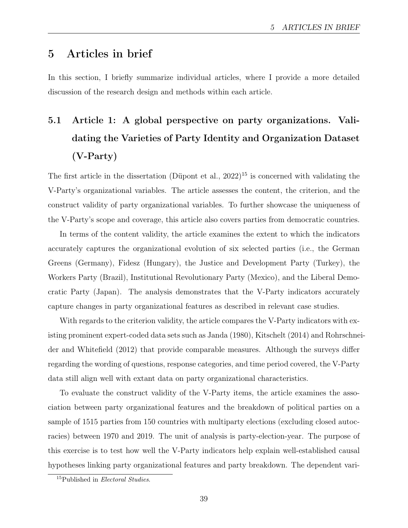## 5 Articles in brief

In this section, I briefly summarize individual articles, where I provide a more detailed discussion of the research design and methods within each article.

# 5.1 Article 1: A global perspective on party organizations. Validating the Varieties of Party Identity and Organization Dataset (V-Party)

The first article in the dissertation (Düpont et al., 2022)<sup>15</sup> is concerned with validating the V-Party's organizational variables. The article assesses the content, the criterion, and the construct validity of party organizational variables. To further showcase the uniqueness of the V-Party's scope and coverage, this article also covers parties from democratic countries.

In terms of the content validity, the article examines the extent to which the indicators accurately captures the organizational evolution of six selected parties (i.e., the German Greens (Germany), Fidesz (Hungary), the Justice and Development Party (Turkey), the Workers Party (Brazil), Institutional Revolutionary Party (Mexico), and the Liberal Democratic Party (Japan). The analysis demonstrates that the V-Party indicators accurately capture changes in party organizational features as described in relevant case studies.

With regards to the criterion validity, the article compares the V-Party indicators with existing prominent expert-coded data sets such as Janda (1980), Kitschelt (2014) and Rohrschneider and Whitefield (2012) that provide comparable measures. Although the surveys differ regarding the wording of questions, response categories, and time period covered, the V-Party data still align well with extant data on party organizational characteristics.

To evaluate the construct validity of the V-Party items, the article examines the association between party organizational features and the breakdown of political parties on a sample of 1515 parties from 150 countries with multiparty elections (excluding closed autocracies) between 1970 and 2019. The unit of analysis is party-election-year. The purpose of this exercise is to test how well the V-Party indicators help explain well-established causal hypotheses linking party organizational features and party breakdown. The dependent vari-

<sup>&</sup>lt;sup>15</sup>Published in *Electoral Studies*.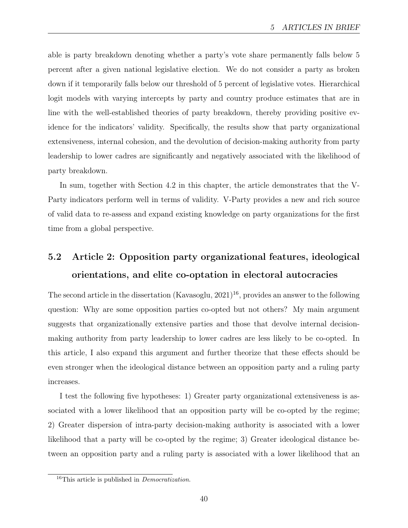able is party breakdown denoting whether a party's vote share permanently falls below 5 percent after a given national legislative election. We do not consider a party as broken down if it temporarily falls below our threshold of 5 percent of legislative votes. Hierarchical logit models with varying intercepts by party and country produce estimates that are in line with the well-established theories of party breakdown, thereby providing positive evidence for the indicators' validity. Specifically, the results show that party organizational extensiveness, internal cohesion, and the devolution of decision-making authority from party leadership to lower cadres are significantly and negatively associated with the likelihood of party breakdown.

In sum, together with Section 4.2 in this chapter, the article demonstrates that the V-Party indicators perform well in terms of validity. V-Party provides a new and rich source of valid data to re-assess and expand existing knowledge on party organizations for the first time from a global perspective.

## 5.2 Article 2: Opposition party organizational features, ideological orientations, and elite co-optation in electoral autocracies

The second article in the dissertation (Kavasoglu, 2021) 16, provides an answer to the following question: Why are some opposition parties co-opted but not others? My main argument suggests that organizationally extensive parties and those that devolve internal decisionmaking authority from party leadership to lower cadres are less likely to be co-opted. In this article, I also expand this argument and further theorize that these effects should be even stronger when the ideological distance between an opposition party and a ruling party increases.

I test the following five hypotheses: 1) Greater party organizational extensiveness is associated with a lower likelihood that an opposition party will be co-opted by the regime; 2) Greater dispersion of intra-party decision-making authority is associated with a lower likelihood that a party will be co-opted by the regime; 3) Greater ideological distance between an opposition party and a ruling party is associated with a lower likelihood that an

 $16$ This article is published in *Democratization*.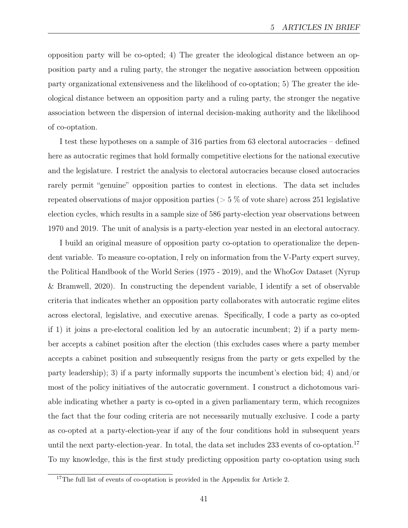opposition party will be co-opted; 4) The greater the ideological distance between an opposition party and a ruling party, the stronger the negative association between opposition party organizational extensiveness and the likelihood of co-optation; 5) The greater the ideological distance between an opposition party and a ruling party, the stronger the negative association between the dispersion of internal decision-making authority and the likelihood of co-optation.

I test these hypotheses on a sample of 316 parties from 63 electoral autocracies – defined here as autocratic regimes that hold formally competitive elections for the national executive and the legislature. I restrict the analysis to electoral autocracies because closed autocracies rarely permit "genuine" opposition parties to contest in elections. The data set includes repeated observations of major opposition parties ( $> 5\%$  of vote share) across 251 legislative election cycles, which results in a sample size of 586 party-election year observations between 1970 and 2019. The unit of analysis is a party-election year nested in an electoral autocracy.

I build an original measure of opposition party co-optation to operationalize the dependent variable. To measure co-optation, I rely on information from the V-Party expert survey, the Political Handbook of the World Series (1975 - 2019), and the WhoGov Dataset (Nyrup & Bramwell, 2020). In constructing the dependent variable, I identify a set of observable criteria that indicates whether an opposition party collaborates with autocratic regime elites across electoral, legislative, and executive arenas. Specifically, I code a party as co-opted if 1) it joins a pre-electoral coalition led by an autocratic incumbent; 2) if a party member accepts a cabinet position after the election (this excludes cases where a party member accepts a cabinet position and subsequently resigns from the party or gets expelled by the party leadership); 3) if a party informally supports the incumbent's election bid; 4) and/or most of the policy initiatives of the autocratic government. I construct a dichotomous variable indicating whether a party is co-opted in a given parliamentary term, which recognizes the fact that the four coding criteria are not necessarily mutually exclusive. I code a party as co-opted at a party-election-year if any of the four conditions hold in subsequent years until the next party-election-year. In total, the data set includes 233 events of co-optation.<sup>17</sup> To my knowledge, this is the first study predicting opposition party co-optation using such

<sup>&</sup>lt;sup>17</sup>The full list of events of co-optation is provided in the Appendix for Article 2.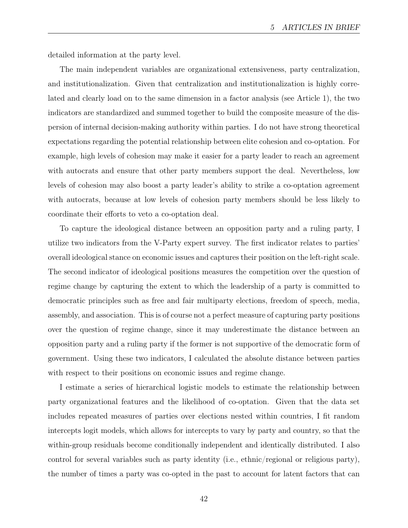detailed information at the party level.

The main independent variables are organizational extensiveness, party centralization, and institutionalization. Given that centralization and institutionalization is highly correlated and clearly load on to the same dimension in a factor analysis (see Article 1), the two indicators are standardized and summed together to build the composite measure of the dispersion of internal decision-making authority within parties. I do not have strong theoretical expectations regarding the potential relationship between elite cohesion and co-optation. For example, high levels of cohesion may make it easier for a party leader to reach an agreement with autocrats and ensure that other party members support the deal. Nevertheless, low levels of cohesion may also boost a party leader's ability to strike a co-optation agreement with autocrats, because at low levels of cohesion party members should be less likely to coordinate their efforts to veto a co-optation deal.

To capture the ideological distance between an opposition party and a ruling party, I utilize two indicators from the V-Party expert survey. The first indicator relates to parties' overall ideological stance on economic issues and captures their position on the left-right scale. The second indicator of ideological positions measures the competition over the question of regime change by capturing the extent to which the leadership of a party is committed to democratic principles such as free and fair multiparty elections, freedom of speech, media, assembly, and association. This is of course not a perfect measure of capturing party positions over the question of regime change, since it may underestimate the distance between an opposition party and a ruling party if the former is not supportive of the democratic form of government. Using these two indicators, I calculated the absolute distance between parties with respect to their positions on economic issues and regime change.

I estimate a series of hierarchical logistic models to estimate the relationship between party organizational features and the likelihood of co-optation. Given that the data set includes repeated measures of parties over elections nested within countries, I fit random intercepts logit models, which allows for intercepts to vary by party and country, so that the within-group residuals become conditionally independent and identically distributed. I also control for several variables such as party identity (i.e., ethnic/regional or religious party), the number of times a party was co-opted in the past to account for latent factors that can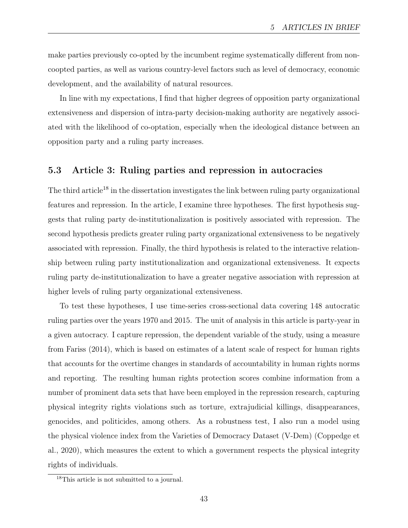make parties previously co-opted by the incumbent regime systematically different from noncoopted parties, as well as various country-level factors such as level of democracy, economic development, and the availability of natural resources.

In line with my expectations, I find that higher degrees of opposition party organizational extensiveness and dispersion of intra-party decision-making authority are negatively associated with the likelihood of co-optation, especially when the ideological distance between an opposition party and a ruling party increases.

#### 5.3 Article 3: Ruling parties and repression in autocracies

The third article<sup>18</sup> in the dissertation investigates the link between ruling party organizational features and repression. In the article, I examine three hypotheses. The first hypothesis suggests that ruling party de-institutionalization is positively associated with repression. The second hypothesis predicts greater ruling party organizational extensiveness to be negatively associated with repression. Finally, the third hypothesis is related to the interactive relationship between ruling party institutionalization and organizational extensiveness. It expects ruling party de-institutionalization to have a greater negative association with repression at higher levels of ruling party organizational extensiveness.

To test these hypotheses, I use time-series cross-sectional data covering 148 autocratic ruling parties over the years 1970 and 2015. The unit of analysis in this article is party-year in a given autocracy. I capture repression, the dependent variable of the study, using a measure from Fariss (2014), which is based on estimates of a latent scale of respect for human rights that accounts for the overtime changes in standards of accountability in human rights norms and reporting. The resulting human rights protection scores combine information from a number of prominent data sets that have been employed in the repression research, capturing physical integrity rights violations such as torture, extrajudicial killings, disappearances, genocides, and politicides, among others. As a robustness test, I also run a model using the physical violence index from the Varieties of Democracy Dataset (V-Dem) (Coppedge et al., 2020), which measures the extent to which a government respects the physical integrity rights of individuals.

<sup>18</sup>This article is not submitted to a journal.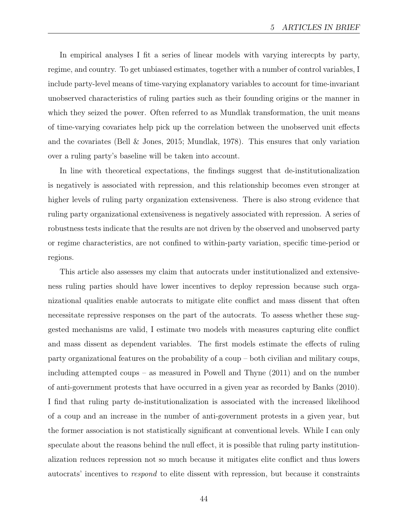In empirical analyses I fit a series of linear models with varying interecpts by party, regime, and country. To get unbiased estimates, together with a number of control variables, I include party-level means of time-varying explanatory variables to account for time-invariant unobserved characteristics of ruling parties such as their founding origins or the manner in which they seized the power. Often referred to as Mundlak transformation, the unit means of time-varying covariates help pick up the correlation between the unobserved unit effects and the covariates (Bell & Jones, 2015; Mundlak, 1978). This ensures that only variation over a ruling party's baseline will be taken into account.

In line with theoretical expectations, the findings suggest that de-institutionalization is negatively is associated with repression, and this relationship becomes even stronger at higher levels of ruling party organization extensiveness. There is also strong evidence that ruling party organizational extensiveness is negatively associated with repression. A series of robustness tests indicate that the results are not driven by the observed and unobserved party or regime characteristics, are not confined to within-party variation, specific time-period or regions.

This article also assesses my claim that autocrats under institutionalized and extensiveness ruling parties should have lower incentives to deploy repression because such organizational qualities enable autocrats to mitigate elite conflict and mass dissent that often necessitate repressive responses on the part of the autocrats. To assess whether these suggested mechanisms are valid, I estimate two models with measures capturing elite conflict and mass dissent as dependent variables. The first models estimate the effects of ruling party organizational features on the probability of a coup – both civilian and military coups, including attempted coups – as measured in Powell and Thyne (2011) and on the number of anti-government protests that have occurred in a given year as recorded by Banks (2010). I find that ruling party de-institutionalization is associated with the increased likelihood of a coup and an increase in the number of anti-government protests in a given year, but the former association is not statistically significant at conventional levels. While I can only speculate about the reasons behind the null effect, it is possible that ruling party institutionalization reduces repression not so much because it mitigates elite conflict and thus lowers autocrats' incentives to respond to elite dissent with repression, but because it constraints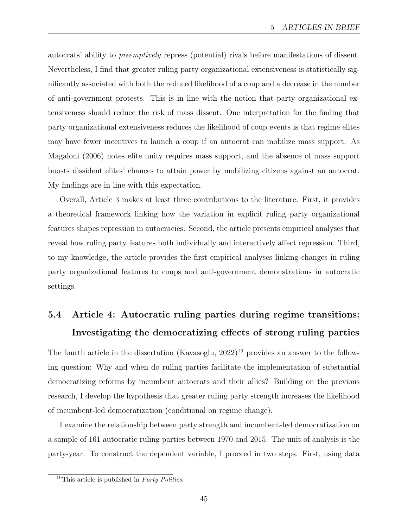autocrats' ability to preemptively repress (potential) rivals before manifestations of dissent. Nevertheless, I find that greater ruling party organizational extensiveness is statistically significantly associated with both the reduced likelihood of a coup and a decrease in the number of anti-government protests. This is in line with the notion that party organizational extensiveness should reduce the risk of mass dissent. One interpretation for the finding that party organizational extensiveness reduces the likelihood of coup events is that regime elites may have fewer incentives to launch a coup if an autocrat can mobilize mass support. As Magaloni (2006) notes elite unity requires mass support, and the absence of mass support boosts dissident elites' chances to attain power by mobilizing citizens against an autocrat. My findings are in line with this expectation.

Overall, Article 3 makes at least three contributions to the literature. First, it provides a theoretical framework linking how the variation in explicit ruling party organizational features shapes repression in autocracies. Second, the article presents empirical analyses that reveal how ruling party features both individually and interactively affect repression. Third, to my knowledge, the article provides the first empirical analyses linking changes in ruling party organizational features to coups and anti-government demonstrations in autocratic settings.

## 5.4 Article 4: Autocratic ruling parties during regime transitions: Investigating the democratizing effects of strong ruling parties

The fourth article in the dissertation (Kavasoglu, 2022)<sup>19</sup> provides an answer to the following question: Why and when do ruling parties facilitate the implementation of substantial democratizing reforms by incumbent autocrats and their allies? Building on the previous research, I develop the hypothesis that greater ruling party strength increases the likelihood of incumbent-led democratization (conditional on regime change).

I examine the relationship between party strength and incumbent-led democratization on a sample of 161 autocratic ruling parties between 1970 and 2015. The unit of analysis is the party-year. To construct the dependent variable, I proceed in two steps. First, using data

<sup>&</sup>lt;sup>19</sup>This article is published in *Party Politics*.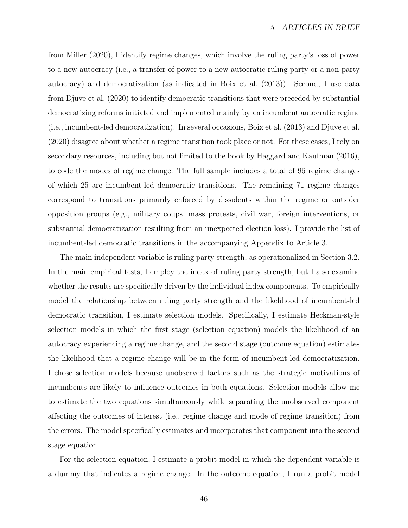from Miller (2020), I identify regime changes, which involve the ruling party's loss of power to a new autocracy (i.e., a transfer of power to a new autocratic ruling party or a non-party autocracy) and democratization (as indicated in Boix et al. (2013)). Second, I use data from Djuve et al. (2020) to identify democratic transitions that were preceded by substantial democratizing reforms initiated and implemented mainly by an incumbent autocratic regime (i.e., incumbent-led democratization). In several occasions, Boix et al. (2013) and Djuve et al. (2020) disagree about whether a regime transition took place or not. For these cases, I rely on secondary resources, including but not limited to the book by Haggard and Kaufman (2016), to code the modes of regime change. The full sample includes a total of 96 regime changes of which 25 are incumbent-led democratic transitions. The remaining 71 regime changes correspond to transitions primarily enforced by dissidents within the regime or outsider opposition groups (e.g., military coups, mass protests, civil war, foreign interventions, or substantial democratization resulting from an unexpected election loss). I provide the list of incumbent-led democratic transitions in the accompanying Appendix to Article 3.

The main independent variable is ruling party strength, as operationalized in Section 3.2. In the main empirical tests, I employ the index of ruling party strength, but I also examine whether the results are specifically driven by the individual index components. To empirically model the relationship between ruling party strength and the likelihood of incumbent-led democratic transition, I estimate selection models. Specifically, I estimate Heckman-style selection models in which the first stage (selection equation) models the likelihood of an autocracy experiencing a regime change, and the second stage (outcome equation) estimates the likelihood that a regime change will be in the form of incumbent-led democratization. I chose selection models because unobserved factors such as the strategic motivations of incumbents are likely to influence outcomes in both equations. Selection models allow me to estimate the two equations simultaneously while separating the unobserved component affecting the outcomes of interest (i.e., regime change and mode of regime transition) from the errors. The model specifically estimates and incorporates that component into the second stage equation.

For the selection equation, I estimate a probit model in which the dependent variable is a dummy that indicates a regime change. In the outcome equation, I run a probit model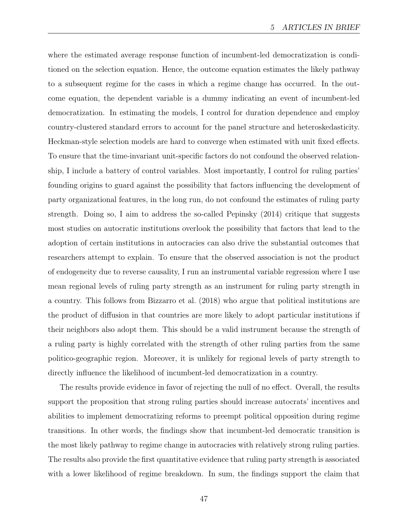where the estimated average response function of incumbent-led democratization is conditioned on the selection equation. Hence, the outcome equation estimates the likely pathway to a subsequent regime for the cases in which a regime change has occurred. In the outcome equation, the dependent variable is a dummy indicating an event of incumbent-led democratization. In estimating the models, I control for duration dependence and employ country-clustered standard errors to account for the panel structure and heteroskedasticity. Heckman-style selection models are hard to converge when estimated with unit fixed effects. To ensure that the time-invariant unit-specific factors do not confound the observed relationship, I include a battery of control variables. Most importantly, I control for ruling parties' founding origins to guard against the possibility that factors influencing the development of party organizational features, in the long run, do not confound the estimates of ruling party strength. Doing so, I aim to address the so-called Pepinsky (2014) critique that suggests most studies on autocratic institutions overlook the possibility that factors that lead to the adoption of certain institutions in autocracies can also drive the substantial outcomes that researchers attempt to explain. To ensure that the observed association is not the product of endogeneity due to reverse causality, I run an instrumental variable regression where I use mean regional levels of ruling party strength as an instrument for ruling party strength in a country. This follows from Bizzarro et al. (2018) who argue that political institutions are the product of diffusion in that countries are more likely to adopt particular institutions if their neighbors also adopt them. This should be a valid instrument because the strength of a ruling party is highly correlated with the strength of other ruling parties from the same politico-geographic region. Moreover, it is unlikely for regional levels of party strength to directly influence the likelihood of incumbent-led democratization in a country.

The results provide evidence in favor of rejecting the null of no effect. Overall, the results support the proposition that strong ruling parties should increase autocrats' incentives and abilities to implement democratizing reforms to preempt political opposition during regime transitions. In other words, the findings show that incumbent-led democratic transition is the most likely pathway to regime change in autocracies with relatively strong ruling parties. The results also provide the first quantitative evidence that ruling party strength is associated with a lower likelihood of regime breakdown. In sum, the findings support the claim that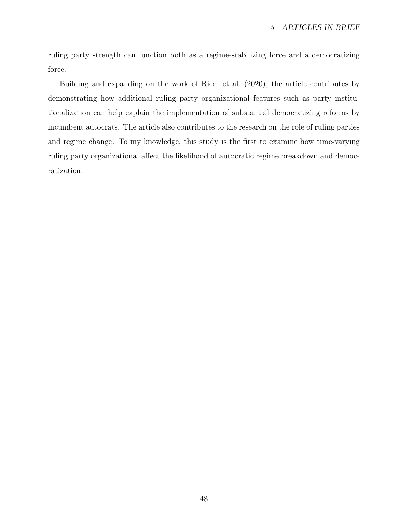ruling party strength can function both as a regime-stabilizing force and a democratizing force.

Building and expanding on the work of Riedl et al. (2020), the article contributes by demonstrating how additional ruling party organizational features such as party institutionalization can help explain the implementation of substantial democratizing reforms by incumbent autocrats. The article also contributes to the research on the role of ruling parties and regime change. To my knowledge, this study is the first to examine how time-varying ruling party organizational affect the likelihood of autocratic regime breakdown and democratization.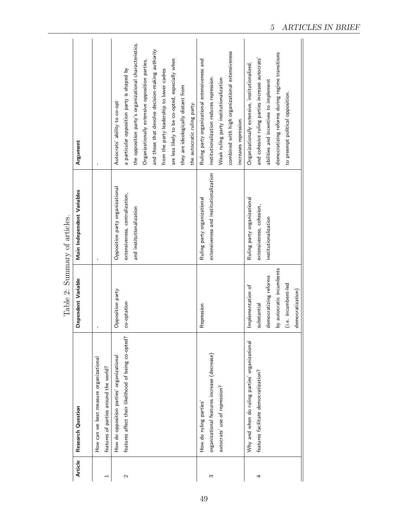| Research Question                                                               | Dependent Variable       | Main Independent Variables             | Argument                                               |
|---------------------------------------------------------------------------------|--------------------------|----------------------------------------|--------------------------------------------------------|
|                                                                                 |                          |                                        |                                                        |
| How can we best measure organizational<br>features of parties around the world? |                          | ı                                      | $\mathbf{I}$                                           |
| How do opposition parties' organizational                                       | Opposition party         | Opposition party organizational        | Autocrats' ability to co-opt                           |
| features affect their likelihood of being co-opted?                             | co-optation              | extensiveness, centralization,         | a particular opposition party is shaped by             |
|                                                                                 |                          | and institutionalization               | the opposition party's organizational characteristics. |
|                                                                                 |                          |                                        | Organizationally extensive opposition parties,         |
|                                                                                 |                          |                                        | and those that devolve decision-making authority       |
|                                                                                 |                          |                                        | from the party leadership to lower cadres              |
|                                                                                 |                          |                                        | are less likely to be co-opted, especially when        |
|                                                                                 |                          |                                        | they are ideologically distant from                    |
|                                                                                 |                          |                                        | the autocratic ruling party.                           |
| How do ruling parties'                                                          | Repression               | Ruling party organizational            | Ruling party organizational extensiveness and          |
| organizational features increase (decrease)                                     |                          | extensiveness and institutionalization | institutionalization reduces repression.               |
| autocrats' use of repression?                                                   |                          |                                        | Weak ruling party institutionalization                 |
|                                                                                 |                          |                                        | combined with high organizational extensiveness        |
|                                                                                 |                          |                                        | increases repression.                                  |
| Why and when do ruling parties' organizational                                  | Implementation of        | Ruling party organizational            | Organizationally extensive, institutionalized,         |
| features facilitate democratization?                                            | substantial              | extensiveness, cohesion,               | and cohesive ruling parties increase autocrats'        |
|                                                                                 | democratizing reforms    | institutionalization                   | abilities and incentives to implement                  |
|                                                                                 | by autocratic incumbents |                                        | democratizing reforms during regime transitions        |
|                                                                                 | (i.e. incumbent-led      |                                        | to preempt political opposition.                       |
|                                                                                 | democratization)         |                                        |                                                        |

 $\sim$ rtiolog Table 2: Summary of articles. ب<br>آ Table 2:  $\mathsf{Sim}$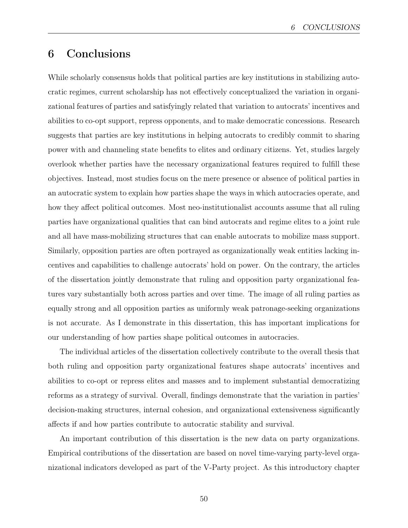## 6 Conclusions

While scholarly consensus holds that political parties are key institutions in stabilizing autocratic regimes, current scholarship has not effectively conceptualized the variation in organizational features of parties and satisfyingly related that variation to autocrats' incentives and abilities to co-opt support, repress opponents, and to make democratic concessions. Research suggests that parties are key institutions in helping autocrats to credibly commit to sharing power with and channeling state benefits to elites and ordinary citizens. Yet, studies largely overlook whether parties have the necessary organizational features required to fulfill these objectives. Instead, most studies focus on the mere presence or absence of political parties in an autocratic system to explain how parties shape the ways in which autocracies operate, and how they affect political outcomes. Most neo-institutionalist accounts assume that all ruling parties have organizational qualities that can bind autocrats and regime elites to a joint rule and all have mass-mobilizing structures that can enable autocrats to mobilize mass support. Similarly, opposition parties are often portrayed as organizationally weak entities lacking incentives and capabilities to challenge autocrats' hold on power. On the contrary, the articles of the dissertation jointly demonstrate that ruling and opposition party organizational features vary substantially both across parties and over time. The image of all ruling parties as equally strong and all opposition parties as uniformly weak patronage-seeking organizations is not accurate. As I demonstrate in this dissertation, this has important implications for our understanding of how parties shape political outcomes in autocracies.

The individual articles of the dissertation collectively contribute to the overall thesis that both ruling and opposition party organizational features shape autocrats' incentives and abilities to co-opt or repress elites and masses and to implement substantial democratizing reforms as a strategy of survival. Overall, findings demonstrate that the variation in parties' decision-making structures, internal cohesion, and organizational extensiveness significantly affects if and how parties contribute to autocratic stability and survival.

An important contribution of this dissertation is the new data on party organizations. Empirical contributions of the dissertation are based on novel time-varying party-level organizational indicators developed as part of the V-Party project. As this introductory chapter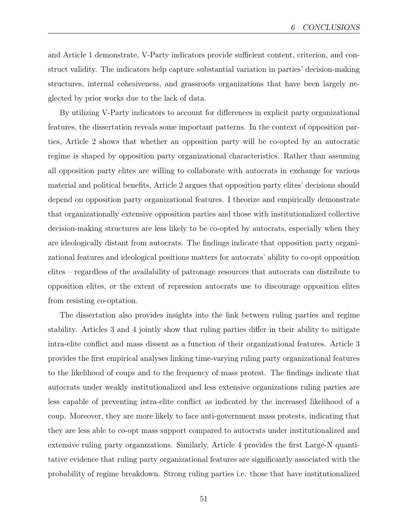and Article 1 demonstrate, V-Party indicators provide sufficient content, criterion, and construct validity. The indicators help capture substantial variation in parties' decision-making structures, internal cohesiveness, and grassroots organizations that have been largely neglected by prior works due to the lack of data.

By utilizing V-Party indicators to account for differences in explicit party organizational features, the dissertation reveals some important patterns. In the context of opposition parties, Article 2 shows that whether an opposition party will be co-opted by an autocratic regime is shaped by opposition party organizational characteristics. Rather than assuming all opposition party elites are willing to collaborate with autocrats in exchange for various material and political benefits, Article 2 argues that opposition party elites' decisions should depend on opposition party organizational features. I theorize and empirically demonstrate that organizationally extensive opposition parties and those with institutionalized collective decision-making structures are less likely to be co-opted by autocrats, especially when they are ideologically distant from autocrats. The findings indicate that opposition party organizational features and ideological positions matters for autocrats' ability to co-opt opposition elites – regardless of the availability of patronage resources that autocrats can distribute to opposition elites, or the extent of repression autocrats use to discourage opposition elites from resisting co-optation.

The dissertation also provides insights into the link between ruling parties and regime stability. Articles 3 and 4 jointly show that ruling parties differ in their ability to mitigate intra-elite conflict and mass dissent as a function of their organizational features. Article 3 provides the first empirical analyses linking time-varying ruling party organizational features to the likelihood of coups and to the frequency of mass protest. The findings indicate that autocrats under weakly institutionalized and less extensive organizations ruling parties are less capable of preventing intra-elite conflict as indicated by the increased likelihood of a coup. Moreover, they are more likely to face anti-government mass protests, indicating that they are less able to co-opt mass support compared to autocrats under institutionalized and extensive ruling party organizations. Similarly, Article 4 provides the first Large-N quantitative evidence that ruling party organizational features are significantly associated with the probability of regime breakdown. Strong ruling parties i.e. those that have institutionalized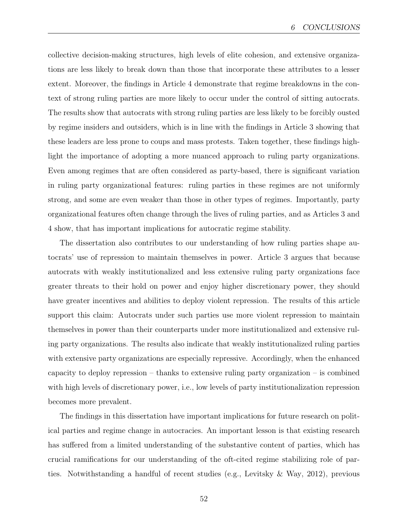collective decision-making structures, high levels of elite cohesion, and extensive organizations are less likely to break down than those that incorporate these attributes to a lesser extent. Moreover, the findings in Article 4 demonstrate that regime breakdowns in the context of strong ruling parties are more likely to occur under the control of sitting autocrats. The results show that autocrats with strong ruling parties are less likely to be forcibly ousted by regime insiders and outsiders, which is in line with the findings in Article 3 showing that these leaders are less prone to coups and mass protests. Taken together, these findings highlight the importance of adopting a more nuanced approach to ruling party organizations. Even among regimes that are often considered as party-based, there is significant variation in ruling party organizational features: ruling parties in these regimes are not uniformly strong, and some are even weaker than those in other types of regimes. Importantly, party organizational features often change through the lives of ruling parties, and as Articles 3 and 4 show, that has important implications for autocratic regime stability.

The dissertation also contributes to our understanding of how ruling parties shape autocrats' use of repression to maintain themselves in power. Article 3 argues that because autocrats with weakly institutionalized and less extensive ruling party organizations face greater threats to their hold on power and enjoy higher discretionary power, they should have greater incentives and abilities to deploy violent repression. The results of this article support this claim: Autocrats under such parties use more violent repression to maintain themselves in power than their counterparts under more institutionalized and extensive ruling party organizations. The results also indicate that weakly institutionalized ruling parties with extensive party organizations are especially repressive. Accordingly, when the enhanced capacity to deploy repression – thanks to extensive ruling party organization – is combined with high levels of discretionary power, i.e., low levels of party institutionalization repression becomes more prevalent.

The findings in this dissertation have important implications for future research on political parties and regime change in autocracies. An important lesson is that existing research has suffered from a limited understanding of the substantive content of parties, which has crucial ramifications for our understanding of the oft-cited regime stabilizing role of parties. Notwithstanding a handful of recent studies (e.g., Levitsky & Way, 2012), previous

52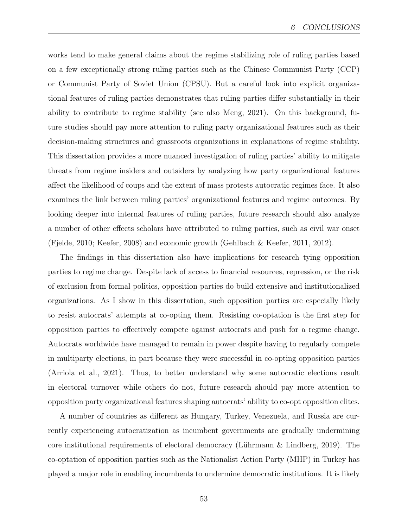works tend to make general claims about the regime stabilizing role of ruling parties based on a few exceptionally strong ruling parties such as the Chinese Communist Party (CCP) or Communist Party of Soviet Union (CPSU). But a careful look into explicit organizational features of ruling parties demonstrates that ruling parties differ substantially in their ability to contribute to regime stability (see also Meng, 2021). On this background, future studies should pay more attention to ruling party organizational features such as their decision-making structures and grassroots organizations in explanations of regime stability. This dissertation provides a more nuanced investigation of ruling parties' ability to mitigate threats from regime insiders and outsiders by analyzing how party organizational features affect the likelihood of coups and the extent of mass protests autocratic regimes face. It also examines the link between ruling parties' organizational features and regime outcomes. By looking deeper into internal features of ruling parties, future research should also analyze a number of other effects scholars have attributed to ruling parties, such as civil war onset (Fjelde, 2010; Keefer, 2008) and economic growth (Gehlbach & Keefer, 2011, 2012).

The findings in this dissertation also have implications for research tying opposition parties to regime change. Despite lack of access to financial resources, repression, or the risk of exclusion from formal politics, opposition parties do build extensive and institutionalized organizations. As I show in this dissertation, such opposition parties are especially likely to resist autocrats' attempts at co-opting them. Resisting co-optation is the first step for opposition parties to effectively compete against autocrats and push for a regime change. Autocrats worldwide have managed to remain in power despite having to regularly compete in multiparty elections, in part because they were successful in co-opting opposition parties (Arriola et al., 2021). Thus, to better understand why some autocratic elections result in electoral turnover while others do not, future research should pay more attention to opposition party organizational features shaping autocrats' ability to co-opt opposition elites.

A number of countries as different as Hungary, Turkey, Venezuela, and Russia are currently experiencing autocratization as incumbent governments are gradually undermining core institutional requirements of electoral democracy (Lührmann & Lindberg, 2019). The co-optation of opposition parties such as the Nationalist Action Party (MHP) in Turkey has played a major role in enabling incumbents to undermine democratic institutions. It is likely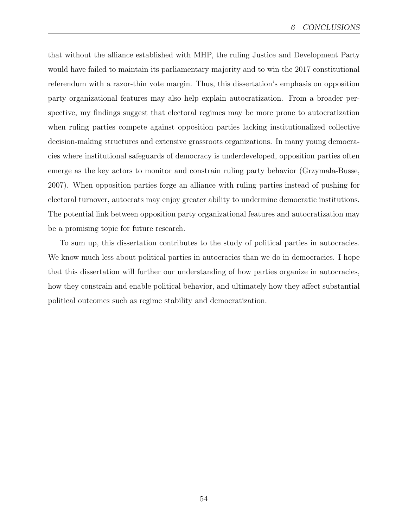that without the alliance established with MHP, the ruling Justice and Development Party would have failed to maintain its parliamentary majority and to win the 2017 constitutional referendum with a razor-thin vote margin. Thus, this dissertation's emphasis on opposition party organizational features may also help explain autocratization. From a broader perspective, my findings suggest that electoral regimes may be more prone to autocratization when ruling parties compete against opposition parties lacking institutionalized collective decision-making structures and extensive grassroots organizations. In many young democracies where institutional safeguards of democracy is underdeveloped, opposition parties often emerge as the key actors to monitor and constrain ruling party behavior (Grzymala-Busse, 2007). When opposition parties forge an alliance with ruling parties instead of pushing for electoral turnover, autocrats may enjoy greater ability to undermine democratic institutions. The potential link between opposition party organizational features and autocratization may be a promising topic for future research.

To sum up, this dissertation contributes to the study of political parties in autocracies. We know much less about political parties in autocracies than we do in democracies. I hope that this dissertation will further our understanding of how parties organize in autocracies, how they constrain and enable political behavior, and ultimately how they affect substantial political outcomes such as regime stability and democratization.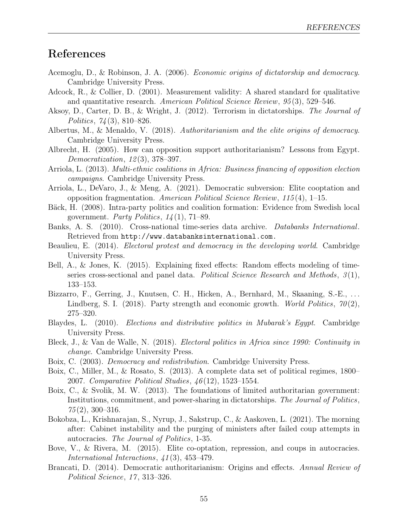## References

- Acemoglu, D., & Robinson, J. A. (2006). Economic origins of dictatorship and democracy. Cambridge University Press.
- Adcock, R., & Collier, D. (2001). Measurement validity: A shared standard for qualitative and quantitative research. American Political Science Review, 95 (3), 529–546.
- Aksoy, D., Carter, D. B., & Wright, J. (2012). Terrorism in dictatorships. The Journal of Politics, 74 (3), 810–826.
- Albertus, M., & Menaldo, V. (2018). Authoritarianism and the elite origins of democracy. Cambridge University Press.
- Albrecht, H. (2005). How can opposition support authoritarianism? Lessons from Egypt. Democratization, 12 (3), 378–397.
- Arriola, L. (2013). Multi-ethnic coalitions in Africa: Business financing of opposition election campaigns. Cambridge University Press.
- Arriola, L., DeVaro, J., & Meng, A. (2021). Democratic subversion: Elite cooptation and opposition fragmentation. American Political Science Review, 115 (4), 1–15.
- Bäck, H. (2008). Intra-party politics and coalition formation: Evidence from Swedish local government. Party Politics,  $14(1)$ , 71–89.
- Banks, A. S. (2010). Cross-national time-series data archive. Databanks International. Retrieved from <http://www.databanksinternational.com.>
- Beaulieu, E. (2014). Electoral protest and democracy in the developing world. Cambridge University Press.
- Bell, A., & Jones, K. (2015). Explaining fixed effects: Random effects modeling of timeseries cross-sectional and panel data. Political Science Research and Methods,  $3(1)$ , 133–153.
- Bizzarro, F., Gerring, J., Knutsen, C. H., Hicken, A., Bernhard, M., Skaaning, S.-E., . . . Lindberg, S. I. (2018). Party strength and economic growth. World Politics,  $70(2)$ , 275–320.
- Blaydes, L. (2010). Elections and distributive politics in Mubarak's Egypt. Cambridge University Press.
- Bleck, J., & Van de Walle, N. (2018). Electoral politics in Africa since 1990: Continuity in change. Cambridge University Press.
- Boix, C. (2003). Democracy and redistribution. Cambridge University Press.
- Boix, C., Miller, M., & Rosato, S. (2013). A complete data set of political regimes, 1800– 2007. Comparative Political Studies, 46 (12), 1523–1554.
- Boix, C., & Svolik, M. W. (2013). The foundations of limited authoritarian government: Institutions, commitment, and power-sharing in dictatorships. The Journal of Politics,  $75(2)$ , 300-316.
- Bokobza, L., Krishnarajan, S., Nyrup, J., Sakstrup, C., & Aaskoven, L. (2021). The morning after: Cabinet instability and the purging of ministers after failed coup attempts in autocracies. The Journal of Politics, 1-35.
- Bove, V., & Rivera, M. (2015). Elite co-optation, repression, and coups in autocracies. International Interactions,  $\angle 41(3)$ , 453-479.
- Brancati, D. (2014). Democratic authoritarianism: Origins and effects. Annual Review of Political Science, 17, 313-326.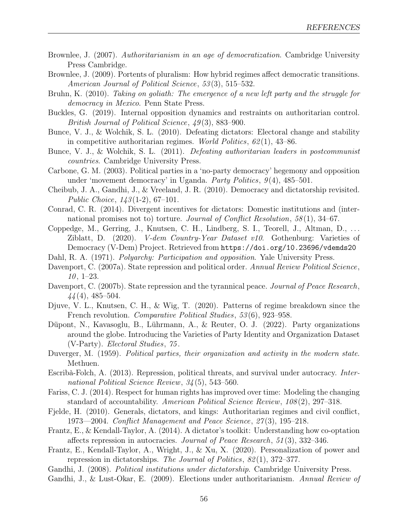- Brownlee, J. (2007). Authoritarianism in an age of democratization. Cambridge University Press Cambridge.
- Brownlee, J. (2009). Portents of pluralism: How hybrid regimes affect democratic transitions. American Journal of Political Science, 53(3), 515–532.
- Bruhn, K. (2010). Taking on goliath: The emergence of a new left party and the struggle for democracy in Mexico. Penn State Press.
- Buckles, G. (2019). Internal opposition dynamics and restraints on authoritarian control. British Journal of Political Science, 49 (3), 883–900.
- Bunce, V. J., & Wolchik, S. L. (2010). Defeating dictators: Electoral change and stability in competitive authoritarian regimes. World Politics, 62 (1), 43–86.
- Bunce, V. J., & Wolchik, S. L. (2011). Defeating authoritarian leaders in postcommunist countries. Cambridge University Press.
- Carbone, G. M. (2003). Political parties in a 'no-party democracy' hegemony and opposition under 'movement democracy' in Uganda. Party Politics,  $9(4)$ ,  $485-501$ .
- Cheibub, J. A., Gandhi, J., & Vreeland, J. R. (2010). Democracy and dictatorship revisited. Public Choice, 143 (1-2), 67–101.
- Conrad, C. R. (2014). Divergent incentives for dictators: Domestic institutions and (international promises not to) torture. Journal of Conflict Resolution, 58(1), 34–67.
- Coppedge, M., Gerring, J., Knutsen, C. H., Lindberg, S. I., Teorell, J., Altman, D., . . . Ziblatt, D. (2020). V-dem Country-Year Dataset v10. Gothenburg: Varieties of Democracy (V-Dem) Project. Retrieved from <https://doi.org/10.23696/vdemds20>
- Dahl, R. A. (1971). Polyarchy: Participation and opposition. Yale University Press.
- Davenport, C. (2007a). State repression and political order. Annual Review Political Science,  $10, 1-23.$
- Davenport, C. (2007b). State repression and the tyrannical peace. Journal of Peace Research,  $44(4)$ , 485–504.
- Djuve, V. L., Knutsen, C. H., & Wig, T. (2020). Patterns of regime breakdown since the French revolution. Comparative Political Studies, 53(6), 923–958.
- Düpont, N., Kavasoglu, B., Lührmann, A., & Reuter, O. J. (2022). Party organizations around the globe. Introducing the Varieties of Party Identity and Organization Dataset (V-Party). Electoral Studies, 75 .
- Duverger, M. (1959). Political parties, their organization and activity in the modern state. Methuen.
- Escribà-Folch, A. (2013). Repression, political threats, and survival under autocracy. International Political Science Review, 34 (5), 543–560.
- Fariss, C. J. (2014). Respect for human rights has improved over time: Modeling the changing standard of accountability. American Political Science Review, 108 (2), 297–318.
- Fjelde, H. (2010). Generals, dictators, and kings: Authoritarian regimes and civil conflict, 1973—2004. Conflict Management and Peace Science, 27 (3), 195–218.
- Frantz, E., & Kendall-Taylor, A. (2014). A dictator's toolkit: Understanding how co-optation affects repression in autocracies. Journal of Peace Research, 51 (3), 332–346.
- Frantz, E., Kendall-Taylor, A., Wright, J., & Xu, X. (2020). Personalization of power and repression in dictatorships. The Journal of Politics, 82 (1), 372–377.
- Gandhi, J. (2008). Political institutions under dictatorship. Cambridge University Press. Gandhi, J., & Lust-Okar, E. (2009). Elections under authoritarianism. Annual Review of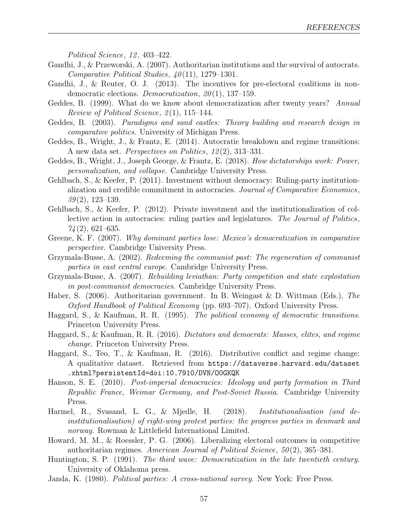Political Science, 12, 403-422.

- Gandhi, J., & Przeworski, A. (2007). Authoritarian institutions and the survival of autocrats. Comparative Political Studies,  $40(11)$ , 1279–1301.
- Gandhi, J., & Reuter, O. J. (2013). The incentives for pre-electoral coalitions in nondemocratic elections. *Democratization*, 20(1), 137–159.
- Geddes, B. (1999). What do we know about democratization after twenty years? Annual Review of Political Science,  $2(1)$ , 115–144.
- Geddes, B. (2003). Paradigms and sand castles: Theory building and research design in comparative politics. University of Michigan Press.
- Geddes, B., Wright, J., & Frantz, E. (2014). Autocratic breakdown and regime transitions: A new data set. Perspectives on Politics, 12 (2), 313–331.
- Geddes, B., Wright, J., Joseph George, & Frantz, E. (2018). How dictatorships work: Power, personalization, and collapse. Cambridge University Press.
- Gehlbach, S., & Keefer, P. (2011). Investment without democracy: Ruling-party institutionalization and credible commitment in autocracies. Journal of Comparative Economics,  $39(2)$ , 123–139.
- Gehlbach, S., & Keefer, P. (2012). Private investment and the institutionalization of collective action in autocracies: ruling parties and legislatures. The Journal of Politics,  $74(2)$ , 621–635.
- Greene, K. F. (2007). Why dominant parties lose: Mexico's democratization in comparative perspective. Cambridge University Press.
- Grzymala-Busse, A. (2002). Redeeming the communist past: The regeneration of communist parties in east central europe. Cambridge University Press.
- Grzymala-Busse, A. (2007). Rebuilding leviathan: Party competition and state exploitation in post-communist democracies. Cambridge University Press.
- Haber, S. (2006). Authoritarian government. In B. Weingast & D. Wittman (Eds.), The Oxford Handbook of Political Economy (pp. 693–707). Oxford University Press.
- Haggard, S., & Kaufman, R. R. (1995). The political economy of democratic transitions. Princeton University Press.
- Haggard, S., & Kaufman, R. R. (2016). Dictators and democrats: Masses, elites, and regime change. Princeton University Press.
- Haggard, S., Teo, T., & Kaufman, R. (2016). Distributive conflict and regime change: A qualitative dataset. Retrieved from [https://dataverse.harvard.edu/dataset](https://dataverse.harvard.edu/dataset.xhtml?persistentId=doi:10.7910/DVN/O0GKQK) [.xhtml?persistentId=doi:10.7910/DVN/O0GKQK](https://dataverse.harvard.edu/dataset.xhtml?persistentId=doi:10.7910/DVN/O0GKQK)
- Hanson, S. E. (2010). Post-imperial democracies: Ideology and party formation in Third Republic France, Weimar Germany, and Post-Soviet Russia. Cambridge University Press.
- Harmel, R., Svasand, L. G., & Mjedle, H. (2018). Institutionalisation (and deinstitutionalisation) of right-wing protest parties: the progress parties in denmark and norway. Rowman & Littlefield International Limited.
- Howard, M. M., & Roessler, P. G. (2006). Liberalizing electoral outcomes in competitive authoritarian regimes. American Journal of Political Science,  $50(2)$ , 365–381.
- Huntington, S. P. (1991). The third wave: Democratization in the late twentieth century. University of Oklahoma press.
- Janda, K. (1980). Political parties: A cross-national survey. New York: Free Press.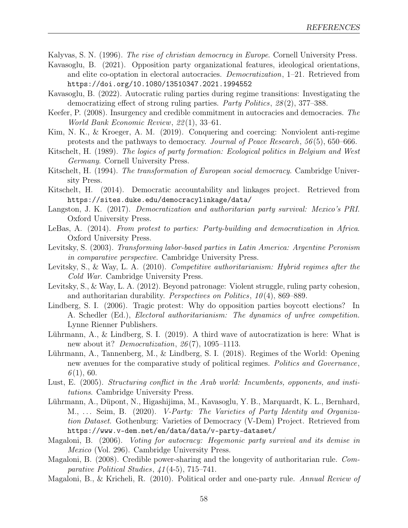Kalyvas, S. N. (1996). The rise of christian democracy in Europe. Cornell University Press.

- Kavasoglu, B. (2021). Opposition party organizational features, ideological orientations, and elite co-optation in electoral autocracies. Democratization, 1–21. Retrieved from <https://doi.org/10.1080/13510347.2021.1994552>
- Kavasoglu, B. (2022). Autocratic ruling parties during regime transitions: Investigating the democratizing effect of strong ruling parties. Party Politics, 28 (2), 377–388.
- Keefer, P. (2008). Insurgency and credible commitment in autocracies and democracies. The World Bank Economic Review, 22 (1), 33–61.
- Kim, N. K., & Kroeger, A. M. (2019). Conquering and coercing: Nonviolent anti-regime protests and the pathways to democracy. Journal of Peace Research, 56 (5), 650–666.
- Kitschelt, H. (1989). The logics of party formation: Ecological politics in Belgium and West Germany. Cornell University Press.
- Kitschelt, H. (1994). The transformation of European social democracy. Cambridge University Press.
- Kitschelt, H. (2014). Democratic accountability and linkages project. Retrieved from <https://sites.duke.edu/democracylinkage/data/>
- Langston, J. K. (2017). Democratization and authoritarian party survival: Mexico's PRI. Oxford University Press.
- LeBas, A. (2014). From protest to parties: Party-building and democratization in Africa. Oxford University Press.
- Levitsky, S. (2003). Transforming labor-based parties in Latin America: Argentine Peronism in comparative perspective. Cambridge University Press.
- Levitsky, S., & Way, L. A. (2010). Competitive authoritarianism: Hybrid regimes after the Cold War. Cambridge University Press.
- Levitsky, S., & Way, L. A. (2012). Beyond patronage: Violent struggle, ruling party cohesion, and authoritarian durability. *Perspectives on Politics*,  $10(4)$ , 869–889.
- Lindberg, S. I. (2006). Tragic protest: Why do opposition parties boycott elections? In A. Schedler (Ed.), Electoral authoritarianism: The dynamics of unfree competition. Lynne Rienner Publishers.
- Lührmann, A., & Lindberg, S. I. (2019). A third wave of autocratization is here: What is new about it? *Democratization*,  $26(7)$ , 1095–1113.
- Lührmann, A., Tannenberg, M., & Lindberg, S. I. (2018). Regimes of the World: Opening new avenues for the comparative study of political regimes. Politics and Governance,  $6(1), 60.$
- Lust, E. (2005). Structuring conflict in the Arab world: Incumbents, opponents, and institutions. Cambridge University Press.
- Lührmann, A., Düpont, N., Higashijima, M., Kavasoglu, Y. B., Marquardt, K. L., Bernhard, M., ... Seim, B. (2020). *V-Party: The Varieties of Party Identity and Organiza*tion Dataset. Gothenburg: Varieties of Democracy (V-Dem) Project. Retrieved from <https://www.v-dem.net/en/data/data/v-party-dataset/>
- Magaloni, B. (2006). Voting for autocracy: Hegemonic party survival and its demise in Mexico (Vol. 296). Cambridge University Press.
- Magaloni, B. (2008). Credible power-sharing and the longevity of authoritarian rule. Comparative Political Studies, 41 (4-5), 715–741.
- Magaloni, B., & Kricheli, R. (2010). Political order and one-party rule. Annual Review of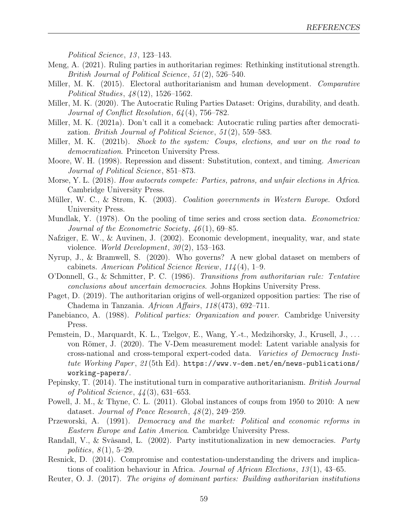Political Science, 13, 123-143.

- Meng, A. (2021). Ruling parties in authoritarian regimes: Rethinking institutional strength. British Journal of Political Science, 51 (2), 526–540.
- Miller, M. K. (2015). Electoral authoritarianism and human development. Comparative Political Studies, 48 (12), 1526–1562.
- Miller, M. K. (2020). The Autocratic Ruling Parties Dataset: Origins, durability, and death. Journal of Conflict Resolution, 64 (4), 756–782.
- Miller, M. K. (2021a). Don't call it a comeback: Autocratic ruling parties after democratization. *British Journal of Political Science*, 51(2), 559–583.
- Miller, M. K. (2021b). Shock to the system: Coups, elections, and war on the road to democratization. Princeton University Press.
- Moore, W. H. (1998). Repression and dissent: Substitution, context, and timing. American Journal of Political Science, 851–873.
- Morse, Y. L. (2018). How autocrats compete: Parties, patrons, and unfair elections in Africa. Cambridge University Press.
- Müller, W. C., & Strøm, K. (2003). Coalition governments in Western Europe. Oxford University Press.
- Mundlak, Y. (1978). On the pooling of time series and cross section data. *Econometrica:* Journal of the Econometric Society,  $46(1)$ , 69–85.
- Nafziger, E. W., & Auvinen, J. (2002). Economic development, inequality, war, and state violence. World Development,  $30(2)$ , 153–163.
- Nyrup, J., & Bramwell, S. (2020). Who governs? A new global dataset on members of cabinets. American Political Science Review, 114 (4), 1–9.
- O'Donnell, G., & Schmitter, P. C. (1986). Transitions from authoritarian rule: Tentative conclusions about uncertain democracies. Johns Hopkins University Press.
- Paget, D. (2019). The authoritarian origins of well-organized opposition parties: The rise of Chadema in Tanzania. African Affairs, 118 (473), 692–711.
- Panebianco, A. (1988). Political parties: Organization and power. Cambridge University Press.
- Pemstein, D., Marquardt, K. L., Tzelgov, E., Wang, Y.-t., Medzihorsky, J., Krusell, J., ... von Römer, J. (2020). The V-Dem measurement model: Latent variable analysis for cross-national and cross-temporal expert-coded data. Varieties of Democracy Institute Working Paper,  $21(5th$  Ed). [https://www.v-dem.net/en/news-publications/](https://www.v-dem.net/en/news-publications/working-papers/) [working-papers/](https://www.v-dem.net/en/news-publications/working-papers/).
- Pepinsky, T. (2014). The institutional turn in comparative authoritarianism. British Journal of Political Science, 44 (3), 631–653.
- Powell, J. M., & Thyne, C. L. (2011). Global instances of coups from 1950 to 2010: A new dataset. Journal of Peace Research, 48 (2), 249–259.
- Przeworski, A. (1991). Democracy and the market: Political and economic reforms in Eastern Europe and Latin America. Cambridge University Press.
- Randall, V., & Svåsand, L. (2002). Party institutionalization in new democracies. Party politics,  $8(1)$ , 5–29.
- Resnick, D. (2014). Compromise and contestation-understanding the drivers and implications of coalition behaviour in Africa. Journal of African Elections,  $13(1)$ ,  $43-65$ .
- Reuter, O. J. (2017). The origins of dominant parties: Building authoritarian institutions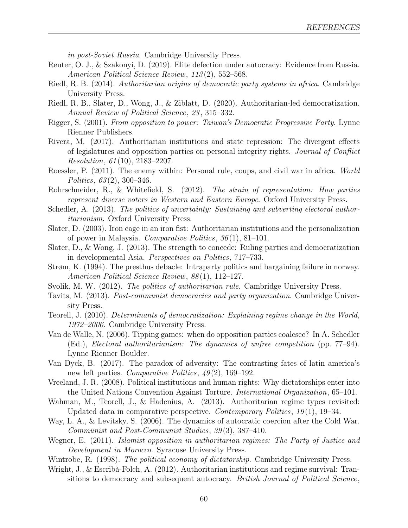in post-Soviet Russia. Cambridge University Press.

- Reuter, O. J., & Szakonyi, D. (2019). Elite defection under autocracy: Evidence from Russia. American Political Science Review, 113 (2), 552–568.
- Riedl, R. B. (2014). Authoritarian origins of democratic party systems in africa. Cambridge University Press.
- Riedl, R. B., Slater, D., Wong, J., & Ziblatt, D. (2020). Authoritarian-led democratization. Annual Review of Political Science, 23 , 315–332.
- Rigger, S. (2001). From opposition to power: Taiwan's Democratic Progressive Party. Lynne Rienner Publishers.
- Rivera, M. (2017). Authoritarian institutions and state repression: The divergent effects of legislatures and opposition parties on personal integrity rights. Journal of Conflict Resolution, 61 (10), 2183–2207.
- Roessler, P. (2011). The enemy within: Personal rule, coups, and civil war in africa. World Politics,  $63(2)$ , 300–346.
- Rohrschneider, R., & Whitefield, S. (2012). The strain of representation: How parties represent diverse voters in Western and Eastern Europe. Oxford University Press.
- Schedler, A. (2013). The politics of uncertainty: Sustaining and subverting electoral authoritarianism. Oxford University Press.
- Slater, D. (2003). Iron cage in an iron fist: Authoritarian institutions and the personalization of power in Malaysia. Comparative Politics, 36 (1), 81–101.
- Slater, D., & Wong, J. (2013). The strength to concede: Ruling parties and democratization in developmental Asia. Perspectives on Politics, 717–733.
- Strøm, K. (1994). The presthus debacle: Intraparty politics and bargaining failure in norway. American Political Science Review, 88 (1), 112–127.
- Svolik, M. W. (2012). The politics of authoritarian rule. Cambridge University Press.
- Tavits, M. (2013). Post-communist democracies and party organization. Cambridge University Press.
- Teorell, J. (2010). Determinants of democratization: Explaining regime change in the World, 1972–2006. Cambridge University Press.
- Van de Walle, N. (2006). Tipping games: when do opposition parties coalesce? In A. Schedler (Ed.), Electoral authoritarianism: The dynamics of unfree competition (pp. 77–94). Lynne Rienner Boulder.
- Van Dyck, B. (2017). The paradox of adversity: The contrasting fates of latin america's new left parties. Comparative Politics,  $\mathcal{A}\mathcal{G}(2)$ , 169–192.
- Vreeland, J. R. (2008). Political institutions and human rights: Why dictatorships enter into the United Nations Convention Against Torture. International Organization, 65–101.
- Wahman, M., Teorell, J., & Hadenius, A. (2013). Authoritarian regime types revisited: Updated data in comparative perspective. Contemporary Politics,  $19(1)$ , 19–34.
- Way, L. A., & Levitsky, S. (2006). The dynamics of autocratic coercion after the Cold War. Communist and Post-Communist Studies, 39 (3), 387–410.
- Wegner, E. (2011). Islamist opposition in authoritarian regimes: The Party of Justice and Development in Morocco. Syracuse University Press.
- Wintrobe, R. (1998). The political economy of dictatorship. Cambridge University Press.
- Wright, J., & Escribà-Folch, A. (2012). Authoritarian institutions and regime survival: Transitions to democracy and subsequent autocracy. British Journal of Political Science,